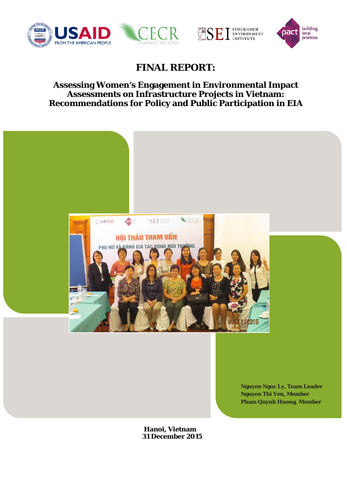





## **FINAL REPORT:**

## **Assessing Women's Engagement in Environmental Impact Assessments on Infrastructure Projects in Vietnam: Recommendations for Policy and Public Participation in EIA**



**Hanoi, Vietnam 31 December 2015**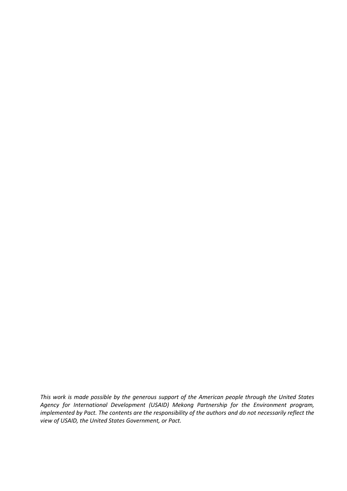*This work is made possible by the generous support of the American people through the United States Agency for International Development (USAID) Mekong Partnership for the Environment program, implemented by Pact. The contents are the responsibility of the authors and do not necessarily reflect the view of USAID, the United States Government, or Pact.*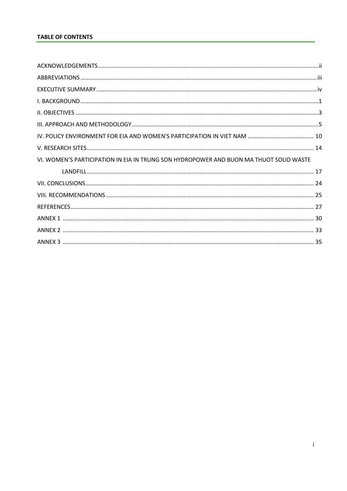| VI. WOMEN'S PARTICIPATION IN EIA IN TRUNG SON HYDROPOWER AND BUON MA THUOT SOLID WASTE |  |
|----------------------------------------------------------------------------------------|--|
|                                                                                        |  |
|                                                                                        |  |
|                                                                                        |  |
|                                                                                        |  |
|                                                                                        |  |
|                                                                                        |  |
|                                                                                        |  |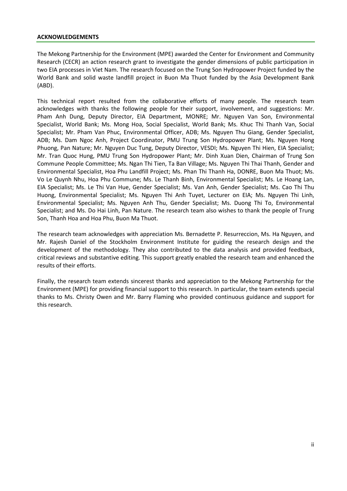#### <span id="page-3-0"></span>**ACKNOWLEDGEMENTS**

The Mekong Partnership for the Environment (MPE) awarded the Center for Environment and Community Research (CECR) an action research grant to investigate the gender dimensions of public participation in two EIA processes in Viet Nam. The research focused on the Trung Son Hydropower Project funded by the World Bank and solid waste landfill project in Buon Ma Thuot funded by the Asia Development Bank (ABD).

This technical report resulted from the collaborative efforts of many people. The research team acknowledges with thanks the following people for their support, involvement, and suggestions: Mr. Pham Anh Dung, Deputy Director, EIA Department, MONRE; Mr. Nguyen Van Son, Environmental Specialist, World Bank; Ms. Mong Hoa, Social Specialist, World Bank; Ms. Khuc Thi Thanh Van, Social Specialist; Mr. Pham Van Phuc, Environmental Officer, ADB; Ms. Nguyen Thu Giang, Gender Specialist, ADB; Ms. Dam Ngoc Anh, Project Coordinator, PMU Trung Son Hydropower Plant; Ms. Nguyen Hong Phuong, Pan Nature; Mr. Nguyen Duc Tung, Deputy Director, VESDI; Ms. Nguyen Thi Hien, EIA Specialist; Mr. Tran Quoc Hung, PMU Trung Son Hydropower Plant; Mr. Dinh Xuan Dien, Chairman of Trung Son Commune People Committee; Ms. Ngan Thi Tien, Ta Ban Village; Ms. Nguyen Thi Thai Thanh, Gender and Environmental Specialist, Hoa Phu Landfill Project; Ms. Phan Thi Thanh Ha, DONRE, Buon Ma Thuot; Ms. Vo Le Quynh Nhu, Hoa Phu Commune; Ms. Le Thanh Binh, Environmental Specialist; Ms. Le Hoang Lan, EIA Specialist; Ms. Le Thi Van Hue, Gender Specialist; Ms. Van Anh, Gender Specialist; Ms. Cao Thi Thu Huong, Environmental Specialist; Ms. Nguyen Thi Anh Tuyet, Lecturer on EIA; Ms. Nguyen Thi Linh, Environmental Specialist; Ms. Nguyen Anh Thu, Gender Specialist; Ms. Duong Thi To, Environmental Specialist; and Ms. Do Hai Linh, Pan Nature. The research team also wishes to thank the people of Trung Son, Thanh Hoa and Hoa Phu, Buon Ma Thuot.

The research team acknowledges with appreciation Ms. Bernadette P. Resurreccion, Ms. Ha Nguyen, and Mr. Rajesh Daniel of the Stockholm Environment Institute for guiding the research design and the development of the methodology. They also contributed to the data analysis and provided feedback, critical reviews and substantive editing. This support greatly enabled the research team and enhanced the results of their efforts.

Finally, the research team extends sincerest thanks and appreciation to the Mekong Partnership for the Environment (MPE) for providing financial support to this research. In particular, the team extends special thanks to Ms. Christy Owen and Mr. Barry Flaming who provided continuous guidance and support for this research.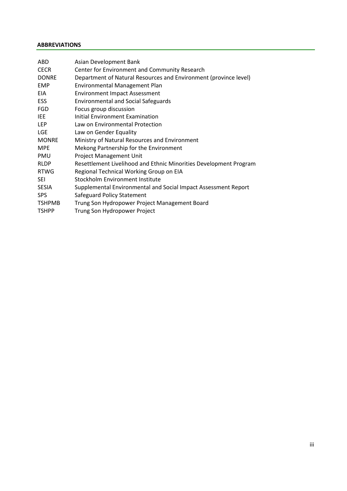#### <span id="page-4-0"></span>**ABBREVIATIONS**

| ABD           | Asian Development Bank                                            |
|---------------|-------------------------------------------------------------------|
| <b>CECR</b>   | Center for Environment and Community Research                     |
| <b>DONRE</b>  | Department of Natural Resources and Environment (province level)  |
| <b>EMP</b>    | <b>Environmental Management Plan</b>                              |
| EIA           | <b>Environment Impact Assessment</b>                              |
| <b>ESS</b>    | <b>Environmental and Social Safeguards</b>                        |
| <b>FGD</b>    | Focus group discussion                                            |
| <b>IEE</b>    | Initial Environment Examination                                   |
| <b>LEP</b>    | Law on Environmental Protection                                   |
| LGE           | Law on Gender Equality                                            |
| <b>MONRE</b>  | Ministry of Natural Resources and Environment                     |
| <b>MPE</b>    | Mekong Partnership for the Environment                            |
| PMU           | Project Management Unit                                           |
| <b>RLDP</b>   | Resettlement Livelihood and Ethnic Minorities Development Program |
| <b>RTWG</b>   | Regional Technical Working Group on EIA                           |
| <b>SEI</b>    | Stockholm Environment Institute                                   |
| <b>SESIA</b>  | Supplemental Environmental and Social Impact Assessment Report    |
| <b>SPS</b>    | Safeguard Policy Statement                                        |
| <b>TSHPMB</b> | Trung Son Hydropower Project Management Board                     |
| <b>TSHPP</b>  | Trung Son Hydropower Project                                      |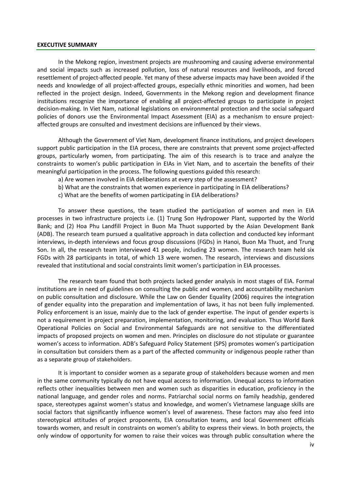#### <span id="page-5-0"></span>**EXECUTIVE SUMMARY**

In the Mekong region, investment projects are mushrooming and causing adverse environmental and social impacts such as increased pollution, loss of natural resources and livelihoods, and forced resettlement of project-affected people. Yet many of these adverse impacts may have been avoided if the needs and knowledge of all project-affected groups, especially ethnic minorities and women, had been reflected in the project design. Indeed, Governments in the Mekong region and development finance institutions recognize the importance of enabling all project-affected groups to participate in project decision-making. In Viet Nam, national legislations on environmental protection and the social safeguard policies of donors use the Environmental Impact Assessment (EIA) as a mechanism to ensure projectaffected groups are consulted and investment decisions are influenced by their views.

Although the Government of Viet Nam, development finance institutions, and project developers support public participation in the EIA process, there are constraints that prevent some project-affected groups, particularly women, from participating. The aim of this research is to trace and analyze the constraints to women's public participation in EIAs in Viet Nam, and to ascertain the benefits of their meaningful participation in the process. The following questions guided this research:

- a) Are women involved in EIA deliberations at every step of the assessment?
- b) What are the constraints that women experience in participating in EIA deliberations?
- c) What are the benefits of women participating in EIA deliberations?

To answer these questions, the team studied the participation of women and men in EIA processes in two infrastructure projects i.e. (1) Trung Son Hydropower Plant, supported by the World Bank; and (2) Hoa Phu Landfill Project in Buon Ma Thuot supported by the Asian Development Bank (ADB). The research team pursued a qualitative approach in data collection and conducted key informant interviews, in-depth interviews and focus group discussions (FGDs) in Hanoi, Buon Ma Thuot, and Trung Son. In all, the research team interviewed 41 people, including 23 women. The research team held six FGDs with 28 participants in total, of which 13 were women. The research, interviews and discussions revealed that institutional and social constraints limit women's participation in EIA processes.

The research team found that both projects lacked gender analysis in most stages of EIA. Formal institutions are in need of guidelines on consulting the public and women, and accountability mechanism on public consultation and disclosure. While the Law on Gender Equality (2006) requires the integration of gender equality into the preparation and implementation of laws, it has not been fully implemented. Policy enforcement is an issue, mainly due to the lack of gender expertise. The input of gender experts is not a requirement in project preparation, implementation, monitoring, and evaluation. Thus World Bank Operational Policies on Social and Environmental Safeguards are not sensitive to the differentiated impacts of proposed projects on women and men. Principles on disclosure do not stipulate or guarantee women's access to information. ADB's Safeguard Policy Statement (SPS) promotes women's participation in consultation but considers them as a part of the affected community or indigenous people rather than as a separate group of stakeholders.

It is important to consider women as a separate group of stakeholders because women and men in the same community typically do not have equal access to information. Unequal access to information reflects other inequalities between men and women such as disparities in education, proficiency in the national language, and gender roles and norms. Patriarchal social norms on family headship, gendered space, stereotypes against women's status and knowledge, and women's Vietnamese language skills are social factors that significantly influence women's level of awareness. These factors may also feed into stereotypical attitudes of project proponents, EIA consultation teams, and local Government officials towards women, and result in constraints on women's ability to express their views. In both projects, the only window of opportunity for women to raise their voices was through public consultation where the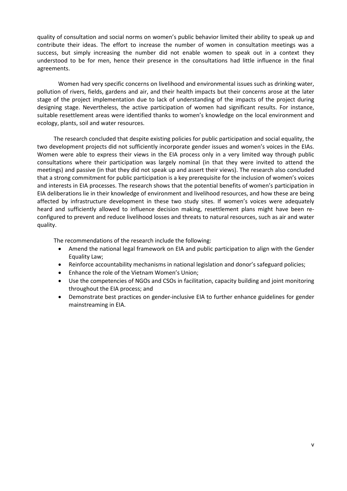quality of consultation and social norms on women's public behavior limited their ability to speak up and contribute their ideas. The effort to increase the number of women in consultation meetings was a success, but simply increasing the number did not enable women to speak out in a context they understood to be for men, hence their presence in the consultations had little influence in the final agreements.

Women had very specific concerns on livelihood and environmental issues such as drinking water, pollution of rivers, fields, gardens and air, and their health impacts but their concerns arose at the later stage of the project implementation due to lack of understanding of the impacts of the project during designing stage. Nevertheless, the active participation of women had significant results. For instance, suitable resettlement areas were identified thanks to women's knowledge on the local environment and ecology, plants, soil and water resources.

The research concluded that despite existing policies for public participation and social equality, the two development projects did not sufficiently incorporate gender issues and women's voices in the EIAs. Women were able to express their views in the EIA process only in a very limited way through public consultations where their participation was largely nominal (in that they were invited to attend the meetings) and passive (in that they did not speak up and assert their views). The research also concluded that a strong commitment for public participation is a key prerequisite for the inclusion of women's voices and interests in EIA processes. The research shows that the potential benefits of women's participation in EIA deliberations lie in their knowledge of environment and livelihood resources, and how these are being affected by infrastructure development in these two study sites. If women's voices were adequately heard and sufficiently allowed to influence decision making, resettlement plans might have been reconfigured to prevent and reduce livelihood losses and threats to natural resources, such as air and water quality.

The recommendations of the research include the following:

- Amend the national legal framework on EIA and public participation to align with the Gender Equality Law;
- Reinforce accountability mechanisms in national legislation and donor's safeguard policies;
- Enhance the role of the Vietnam Women's Union;
- Use the competencies of NGOs and CSOs in facilitation, capacity building and joint monitoring throughout the EIA process; and
- Demonstrate best practices on gender-inclusive EIA to further enhance guidelines for gender mainstreaming in EIA.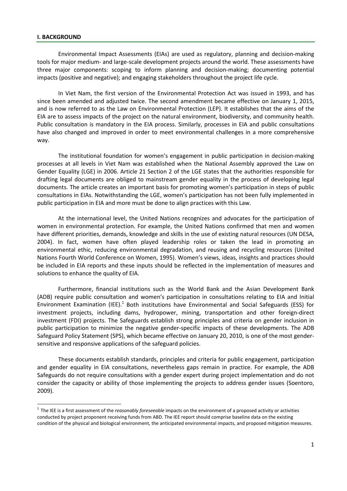#### <span id="page-7-0"></span>**I. BACKGROUND**

 $\overline{\phantom{a}}$ 

Environmental Impact Assessments (EIAs) are used as regulatory, planning and decision-making tools for major medium- and large-scale development projects around the world. These assessments have three major components: scoping to inform planning and decision-making; documenting potential impacts (positive and negative); and engaging stakeholders throughout the project life cycle.

In Viet Nam, the first version of the Environmental Protection Act was issued in 1993, and has since been amended and adjusted twice. The second amendment became effective on January 1, 2015, and is now referred to as the Law on Environmental Protection (LEP). It establishes that the aims of the EIA are to assess impacts of the project on the natural environment, biodiversity, and community health. Public consultation is mandatory in the EIA process. Similarly, processes in EIA and public consultations have also changed and improved in order to meet environmental challenges in a more comprehensive way.

The institutional foundation for women's engagement in public participation in decision-making processes at all levels in Viet Nam was established when the National Assembly approved the Law on Gender Equality (LGE) in 2006. Article 21 Section 2 of the LGE states that the authorities responsible for drafting legal documents are obliged to mainstream gender equality in the process of developing legal documents. The article creates an important basis for promoting women's participation in steps of public consultations in EIAs. Notwithstanding the LGE, women's participation has not been fully implemented in public participation in EIA and more must be done to align practices with this Law.

At the international level, the United Nations recognizes and advocates for the participation of women in environmental protection. For example, the United Nations confirmed that men and women have different priorities, demands, knowledge and skills in the use of existing natural resources (UN DESA, 2004). In fact, women have often played leadership roles or taken the lead in promoting an environmental ethic, reducing environmental degradation, and reusing and recycling resources (United Nations Fourth World Conference on Women, 1995). Women's views, ideas, insights and practices should be included in EIA reports and these inputs should be reflected in the implementation of measures and solutions to enhance the quality of EIA.

Furthermore, financial institutions such as the World Bank and the Asian Development Bank (ADB) require public consultation and women's participation in consultations relating to EIA and Initial Environment Examination (IEE).<sup>1</sup> Both institutions have Environmental and Social Safeguards (ESS) for investment projects, including dams, hydropower, mining, transportation and other foreign-direct investment (FDI) projects. The Safeguards establish strong principles and criteria on gender inclusion in public participation to minimize the negative gender-specific impacts of these developments. The ADB Safeguard Policy Statement (SPS), which became effective on January 20, 2010, is one of the most gendersensitive and responsive applications of the safeguard policies.

These documents establish standards, principles and criteria for public engagement, participation and gender equality in EIA consultations, nevertheless gaps remain in practice. For example, the ADB Safeguards do not require consultations with a gender expert during project implementation and do not consider the capacity or ability of those implementing the projects to address gender issues (Soentoro, 2009).

<sup>&</sup>lt;sup>1</sup> The IEE is a first assessment of the *reasonably foreseeable* impacts on the environment of a proposed activity or activities conducted by project proponent receiving funds from ABD. The IEE report should comprise baseline data on the existing condition of the physical and biological environment, the anticipated environmental impacts, and proposed mitigation measures.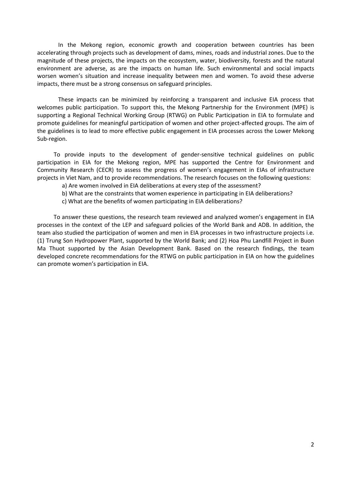In the Mekong region, economic growth and cooperation between countries has been accelerating through projects such as development of dams, mines, roads and industrial zones. Due to the magnitude of these projects, the impacts on the ecosystem, water, biodiversity, forests and the natural environment are adverse, as are the impacts on human life. Such environmental and social impacts worsen women's situation and increase inequality between men and women. To avoid these adverse impacts, there must be a strong consensus on safeguard principles.

These impacts can be minimized by reinforcing a transparent and inclusive EIA process that welcomes public participation. To support this, the Mekong Partnership for the Environment (MPE) is supporting a Regional Technical Working Group (RTWG) on Public Participation in EIA to formulate and promote guidelines for meaningful participation of women and other project-affected groups. The aim of the guidelines is to lead to more effective public engagement in EIA processes across the Lower Mekong Sub-region.

To provide inputs to the development of gender-sensitive technical guidelines on public participation in EIA for the Mekong region, MPE has supported the Centre for Environment and Community Research (CECR) to assess the progress of women's engagement in EIAs of infrastructure projects in Viet Nam, and to provide recommendations. The research focuses on the following questions:

- a) Are women involved in EIA deliberations at every step of the assessment?
- b) What are the constraints that women experience in participating in EIA deliberations?
- c) What are the benefits of women participating in EIA deliberations?

To answer these questions, the research team reviewed and analyzed women's engagement in EIA processes in the context of the LEP and safeguard policies of the World Bank and ADB. In addition, the team also studied the participation of women and men in EIA processes in two infrastructure projects i.e. (1) Trung Son Hydropower Plant, supported by the World Bank; and (2) Hoa Phu Landfill Project in Buon Ma Thuot supported by the Asian Development Bank. Based on the research findings, the team developed concrete recommendations for the RTWG on public participation in EIA on how the guidelines can promote women's participation in EIA.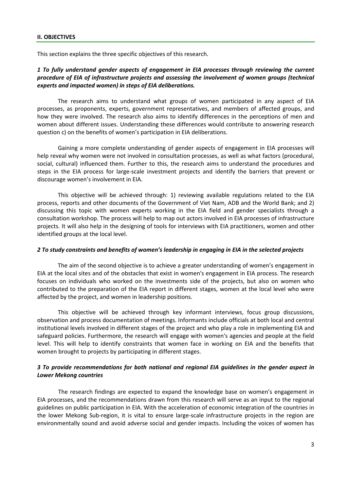<span id="page-9-0"></span>This section explains the three specific objectives of this research.

#### *1 To fully understand gender aspects of engagement in EIA processes through reviewing the current procedure of EIA of infrastructure projects and assessing the involvement of women groups (technical experts and impacted women) in steps of EIA deliberations.*

The research aims to understand what groups of women participated in any aspect of EIA processes, as proponents, experts, government representatives, and members of affected groups, and how they were involved. The research also aims to identify differences in the perceptions of men and women about different issues. Understanding these differences would contribute to answering research question c) on the benefits of women's participation in EIA deliberations.

Gaining a more complete understanding of gender aspects of engagement in EIA processes will help reveal why women were not involved in consultation processes, as well as what factors (procedural, social, cultural) influenced them. Further to this, the research aims to understand the procedures and steps in the EIA process for large-scale investment projects and identify the barriers that prevent or discourage women's involvement in EIA.

This objective will be achieved through: 1) reviewing available regulations related to the EIA process, reports and other documents of the Government of Viet Nam, ADB and the World Bank; and 2) discussing this topic with women experts working in the EIA field and gender specialists through a consultation workshop. The process will help to map out actors involved in EIA processes of infrastructure projects. It will also help in the designing of tools for interviews with EIA practitioners, women and other identified groups at the local level.

#### *2 To study constraints and benefits of women's leadership in engaging in EIA in the selected projects*

The aim of the second objective is to achieve a greater understanding of women's engagement in EIA at the local sites and of the obstacles that exist in women's engagement in EIA process. The research focuses on individuals who worked on the investments side of the projects, but also on women who contributed to the preparation of the EIA report in different stages, women at the local level who were affected by the project, and women in leadership positions.

This objective will be achieved through key informant interviews, focus group discussions, observation and process documentation of meetings. Informants include officials at both local and central institutional levels involved in different stages of the project and who play a role in implementing EIA and safeguard policies. Furthermore, the research will engage with women's agencies and people at the field level. This will help to identify constraints that women face in working on EIA and the benefits that women brought to projects by participating in different stages.

## *3 To provide recommendations for both national and regional EIA guidelines in the gender aspect in Lower Mekong countries*

The research findings are expected to expand the knowledge base on women's engagement in EIA processes, and the recommendations drawn from this research will serve as an input to the regional guidelines on public participation in EIA. With the acceleration of economic integration of the countries in the lower Mekong Sub-region, it is vital to ensure large-scale infrastructure projects in the region are environmentally sound and avoid adverse social and gender impacts. Including the voices of women has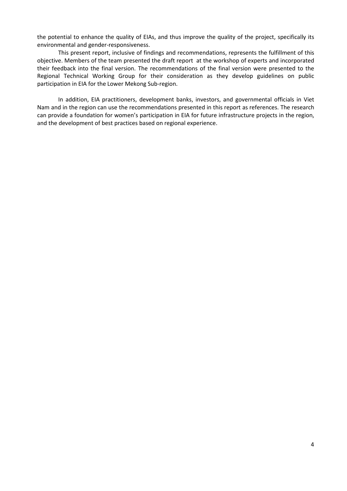the potential to enhance the quality of EIAs, and thus improve the quality of the project, specifically its environmental and gender-responsiveness.

This present report, inclusive of findings and recommendations, represents the fulfillment of this objective. Members of the team presented the draft report at the workshop of experts and incorporated their feedback into the final version. The recommendations of the final version were presented to the Regional Technical Working Group for their consideration as they develop guidelines on public participation in EIA for the Lower Mekong Sub-region.

<span id="page-10-0"></span>In addition, EIA practitioners, development banks, investors, and governmental officials in Viet Nam and in the region can use the recommendations presented in this report as references. The research can provide a foundation for women's participation in EIA for future infrastructure projects in the region, and the development of best practices based on regional experience.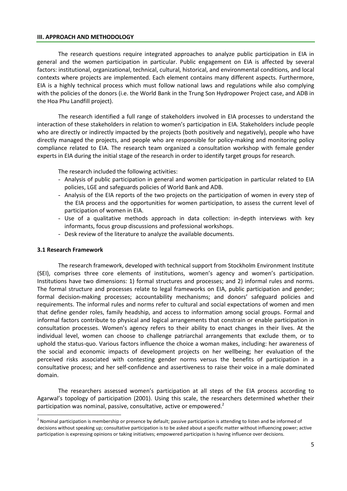#### **III. APPROACH AND METHODOLOGY**

The research questions require integrated approaches to analyze public participation in EIA in general and the women participation in particular. Public engagement on EIA is affected by several factors: institutional, organizational, technical, cultural, historical, and environmental conditions, and local contexts where projects are implemented. Each element contains many different aspects. Furthermore, EIA is a highly technical process which must follow national laws and regulations while also complying with the policies of the donors (i.e. the World Bank in the Trung Son Hydropower Project case, and ADB in the Hoa Phu Landfill project).

The research identified a full range of stakeholders involved in EIA processes to understand the interaction of these stakeholders in relation to women's participation in EIA. Stakeholders include people who are directly or indirectly impacted by the projects (both positively and negatively), people who have directly managed the projects, and people who are responsible for policy-making and monitoring policy compliance related to EIA. The research team organized a consultation workshop with female gender experts in EIA during the initial stage of the research in order to identify target groups for research.

The research included the following activities:

- Analysis of public participation in general and women participation in particular related to EIA policies, LGE and safeguards policies of World Bank and ADB.
- Analysis of the EIA reports of the two projects on the participation of women in every step of the EIA process and the opportunities for women participation, to assess the current level of participation of women in EIA.
- Use of a qualitative methods approach in data collection: in-depth interviews with key informants, focus group discussions and professional workshops.
- Desk review of the literature to analyze the available documents.

#### **3.1 Research Framework**

 $\overline{\phantom{a}}$ 

The research framework, developed with technical support from Stockholm Environment Institute (SEI), comprises three core elements of institutions, women's agency and women's participation. Institutions have two dimensions: 1) formal structures and processes; and 2) informal rules and norms. The formal structure and processes relate to legal frameworks on EIA, public participation and gender; formal decision-making processes; accountability mechanisms; and donors' safeguard policies and requirements. The informal rules and norms refer to cultural and social expectations of women and men that define gender roles, family headship, and access to information among social groups. Formal and informal factors contribute to physical and logical arrangements that constrain or enable participation in consultation processes. Women's agency refers to their ability to enact changes in their lives. At the individual level, women can choose to challenge patriarchal arrangements that exclude them, or to uphold the status-quo. Various factors influence the choice a woman makes, including: her awareness of the social and economic impacts of development projects on her wellbeing; her evaluation of the perceived risks associated with contesting gender norms versus the benefits of participation in a consultative process; and her self-confidence and assertiveness to raise their voice in a male dominated domain.

The researchers assessed women's participation at all steps of the EIA process according to Agarwal's topology of participation (2001). Using this scale, the researchers determined whether their participation was nominal, passive, consultative, active or empowered.<sup>2</sup>

 $2$  Nominal participation is membership or presence by default; passive participation is attending to listen and be informed of decisions without speaking up; consultative participation is to be asked about a specific matter without influencing power; active participation is expressing opinions or taking initiatives; empowered participation is having influence over decisions.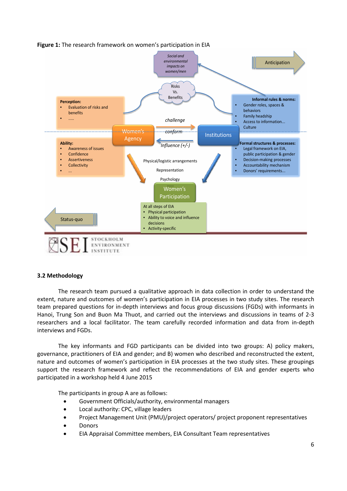

## **Figure 1:** The research framework on women's participation in EIA

#### **3.2 Methodology**

The research team pursued a qualitative approach in data collection in order to understand the extent, nature and outcomes of women's participation in EIA processes in two study sites. The research team prepared questions for in-depth interviews and focus group discussions (FGDs) with informants in Hanoi, Trung Son and Buon Ma Thuot, and carried out the interviews and discussions in teams of 2-3 researchers and a local facilitator. The team carefully recorded information and data from in-depth interviews and FGDs.

The key informants and FGD participants can be divided into two groups: A) policy makers, governance, practitioners of EIA and gender; and B) women who described and reconstructed the extent, nature and outcomes of women's participation in EIA processes at the two study sites. These groupings support the research framework and reflect the recommendations of EIA and gender experts who participated in a workshop held 4 June 2015

The participants in group A are as follows:

- Government Officials/authority, environmental managers
- Local authority: CPC, village leaders
- Project Management Unit (PMU)/project operators/ project proponent representatives
- Donors
- EIA Appraisal Committee members, EIA Consultant Team representatives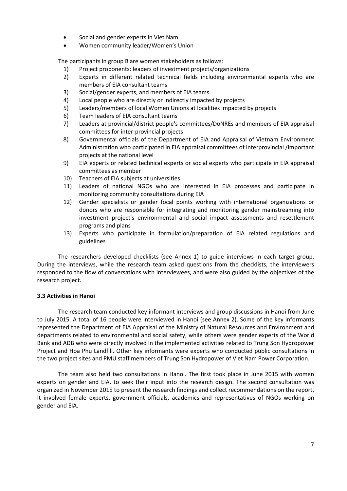- Social and gender experts in Viet Nam
- Women community leader/Women's Union

The participants in group B are women stakeholders as follows:

- 1) Project proponents: leaders of investment projects/organizations
- 2) Experts in different related technical fields including environmental experts who are members of EIA consultant teams
- 3) Social/gender experts, and members of EIA teams
- 4) Local people who are directly or indirectly impacted by projects
- 5) Leaders/members of local Women Unions at localities impacted by projects
- 6) Team leaders of EIA consultant teams
- 7) Leaders at provincial/district people's committees/DoNREs and members of EIA appraisal committees for inter-provincial projects
- 8) Governmental officials of the Department of EIA and Appraisal of Vietnam Environment Administration who participated in EIA appraisal committees of interprovincial /important projects at the national level
- 9) EIA experts or related technical experts or social experts who participate in EIA appraisal committees as member
- 10) Teachers of EIA subjects at universities
- 11) Leaders of national NGOs who are interested in EIA processes and participate in monitoring community consultations during EIA
- 12) Gender specialists or gender focal points working with international organizations or donors who are responsible for integrating and monitoring gender mainstreaming into investment project's environmental and social impact assessments and resettlement programs and plans
- 13) Experts who participate in formulation/preparation of EIA related regulations and guidelines

The researchers developed checklists (see Annex 1) to guide interviews in each target group. During the interviews, while the research team asked questions from the checklists, the interviewers responded to the flow of conversations with interviewees, and were also guided by the objectives of the research project.

## **3.3 Activities in Hanoi**

The research team conducted key informant interviews and group discussions in Hanoi from June to July 2015. A total of 16 people were interviewed in Hanoi (see Annex 2). Some of the key informants represented the Department of EIA Appraisal of the Ministry of Natural Resources and Environment and departments related to environmental and social safety, while others were gender experts of the World Bank and ADB who were directly involved in the implemented activities related to Trung Son Hydropower Project and Hoa Phu Landfill. Other key informants were experts who conducted public consultations in the two project sites and PMU staff members of Trung Son Hydropower of Viet Nam Power Corporation.

The team also held two consultations in Hanoi. The first took place in June 2015 with women experts on gender and EIA, to seek their input into the research design. The second consultation was organized in November 2015 to present the research findings and collect recommendations on the report. It involved female experts, government officials, academics and representatives of NGOs working on gender and EIA.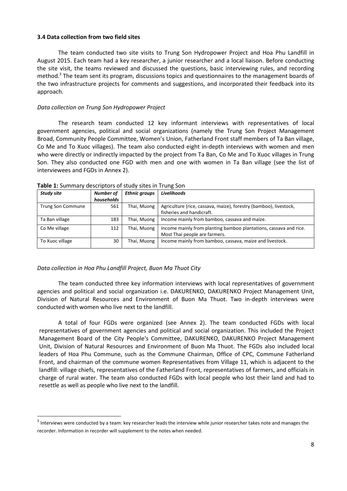#### **3.4 Data collection from two field sites**

The team conducted two site visits to Trung Son Hydropower Project and Hoa Phu Landfill in August 2015. Each team had a key researcher, a junior researcher and a local liaison. Before conducting the site visit, the teams reviewed and discussed the questions, basic interviewing rules, and recording method. <sup>3</sup> The team sent its program, discussions topics and questionnaires to the management boards of the two infrastructure projects for comments and suggestions, and incorporated their feedback into its approach.

#### *Data collection on Trung Son Hydropower Project*

The research team conducted 12 key informant interviews with representatives of local government agencies, political and social organizations (namely the Trung Son Project Management Broad, Community People Committee, Women's Union, Fatherland Front staff members of Ta Ban village, Co Me and To Xuoc villages). The team also conducted eight in-depth interviews with women and men who were directly or indirectly impacted by the project from Ta Ban, Co Me and To Xuoc villages in Trung Son. They also conducted one FGD with men and one with women in Ta Ban village (see the list of interviewees and FGDs in Annex 2).

| <b>Number of</b> | <b>Ethnic groups</b> | Livelihoods                                                       |
|------------------|----------------------|-------------------------------------------------------------------|
| households       |                      |                                                                   |
| 561              | Thai, Muong          | Agriculture (rice, cassava, maize), forestry (bamboo), livestock, |
|                  |                      | fisheries and handicraft.                                         |
| 183              | Thai, Muong          | Income mainly from bamboo, cassava and maize.                     |
| 112              | Thai, Muong          | Income mainly from planting bamboo plantations, cassava and rice. |
|                  |                      | Most Thai people are farmers.                                     |
| 30               | Thai, Muong          | Income mainly from bamboo, cassava, maize and livestock.          |
|                  |                      |                                                                   |

**Table 1:** Summary descriptors of study sites in Trung Son

#### *Data collection in Hoa Phu Landfill Project, Buon Ma Thuot City*

l

The team conducted three key information interviews with local representatives of government agencies and political and social organization i.e. DAKURENKO, DAKURENKO Project Management Unit, Division of Natural Resources and Environment of Buon Ma Thuot. Two in-depth interviews were conducted with women who live next to the landfill.

A total of four FGDs were organized (see Annex 2). The team conducted FGDs with local representatives of government agencies and political and social organization. This included the Project Management Board of the City People's Committee, DAKURENKO, DAKURENKO Project Management Unit, Division of Natural Resources and Environment of Buon Ma Thuot. The FGDs also included local leaders of Hoa Phu Commune, such as the Commune Chairman, Office of CPC, Commune Fatherland Front, and chairman of the commune women Representatives from Village 11, which is adjacent to the landfill: village chiefs, representatives of the Fatherland Front, representatives of farmers, and officials in charge of rural water. The team also conducted FGDs with local people who lost their land and had to resettle as well as people who live next to the landfill.

 $3$  Interviews were conducted by a team: key researcher leads the interview while junior researcher takes note and manages the recorder. Information in recorder will supplement to the notes when needed.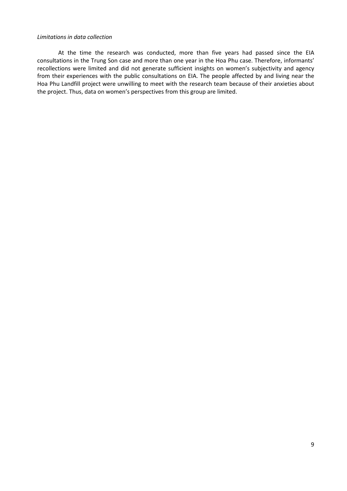#### *Limitations in data collection*

<span id="page-15-0"></span>At the time the research was conducted, more than five years had passed since the EIA consultations in the Trung Son case and more than one year in the Hoa Phu case. Therefore, informants' recollections were limited and did not generate sufficient insights on women's subjectivity and agency from their experiences with the public consultations on EIA. The people affected by and living near the Hoa Phu Landfill project were unwilling to meet with the research team because of their anxieties about the project. Thus, data on women's perspectives from this group are limited.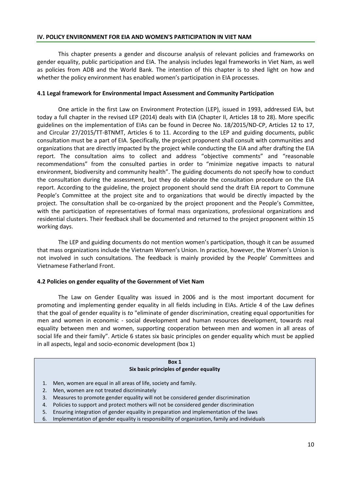This chapter presents a gender and discourse analysis of relevant policies and frameworks on gender equality, public participation and EIA. The analysis includes legal frameworks in Viet Nam, as well as policies from ADB and the World Bank. The intention of this chapter is to shed light on how and whether the policy environment has enabled women's participation in EIA processes.

#### **4.1 Legal framework for Environmental Impact Assessment and Community Participation**

One article in the first Law on Environment Protection (LEP), issued in 1993, addressed EIA, but today a full chapter in the revised LEP (2014) deals with EIA (Chapter II, Articles 18 to 28). More specific guidelines on the implementation of EIAs can be found in Decree No. 18/2015/ND-CP, Articles 12 to 17, and Circular 27/2015/TT-BTNMT, Articles 6 to 11. According to the LEP and guiding documents, public consultation must be a part of EIA. Specifically, the project proponent shall consult with communities and organizations that are directly impacted by the project while conducting the EIA and after drafting the EIA report. The consultation aims to collect and address "objective comments" and "reasonable recommendations" from the consulted parties in order to "minimize negative impacts to natural environment, biodiversity and community health". The guiding documents do not specify how to conduct the consultation during the assessment, but they do elaborate the consultation procedure on the EIA report. According to the guideline, the project proponent should send the draft EIA report to Commune People's Committee at the project site and to organizations that would be directly impacted by the project. The consultation shall be co-organized by the project proponent and the People's Committee, with the participation of representatives of formal mass organizations, professional organizations and residential clusters. Their feedback shall be documented and returned to the project proponent within 15 working days.

The LEP and guiding documents do not mention women's participation, though it can be assumed that mass organizations include the Vietnam Women's Union. In practice, however, the Women's Union is not involved in such consultations. The feedback is mainly provided by the People' Committees and Vietnamese Fatherland Front.

## **4.2 Policies on gender equality of the Government of Viet Nam**

The Law on Gender Equality was issued in 2006 and is the most important document for promoting and implementing gender equality in all fields including in EIAs. Article 4 of the Law defines that the goal of gender equality is *to* "eliminate of gender discrimination, creating equal opportunities for men and women in economic - social development and human resources development, towards real equality between men and women, supporting cooperation between men and women in all areas of social life and their family". Article 6 states six basic principles on gender equality which must be applied in all aspects, legal and socio-economic development (box 1)

|    | Box 1                                                                                       |
|----|---------------------------------------------------------------------------------------------|
|    | Six basic principles of gender equality                                                     |
|    |                                                                                             |
|    | Men, women are equal in all areas of life, society and family.                              |
|    | Men, women are not treated discriminately                                                   |
| 3. | Measures to promote gender equality will not be considered gender discrimination            |
| 4. | Policies to support and protect mothers will not be considered gender discrimination        |
| 5. | Ensuring integration of gender equality in preparation and implementation of the laws       |
| 6. | Implementation of gender equality is responsibility of organization, family and individuals |
|    |                                                                                             |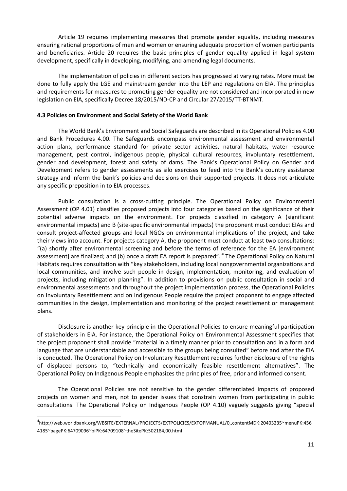Article 19 requires implementing measures that promote gender equality, including measures ensuring rational proportions of men and women or ensuring adequate proportion of women participants and beneficiaries. Article 20 requires the basic principles of gender equality applied in legal system development, specifically in developing, modifying, and amending legal documents.

The implementation of policies in different sectors has progressed at varying rates. More must be done to fully apply the LGE and mainstream gender into the LEP and regulations on EIA. The principles and requirements for measures to promoting gender equality are not considered and incorporated in new legislation on EIA, specifically Decree 18/2015/ND-CP and Circular 27/2015/TT-BTNMT.

#### **4.3 Policies on Environment and Social Safety of the World Bank**

The World Bank's Environment and Social Safeguards are described in its Operational Policies 4.00 and Bank Procedures 4.00. The Safeguards encompass environmental assessment and environmental action plans, performance standard for private sector activities, natural habitats, water resource management, pest control, indigenous people, physical cultural resources, involuntary resettlement, gender and development, forest and safety of dams. The Bank's Operational Policy on Gender and Development refers to gender assessments as silo exercises to feed into the Bank's country assistance strategy and inform the bank's policies and decisions on their supported projects. It does not articulate any specific preposition in to EIA processes.

Public consultation is a cross-cutting principle. The Operational Policy on Environmental Assessment (OP 4.01) classifies proposed projects into four categories based on the significance of their potential adverse impacts on the environment. For projects classified in category A (significant environmental impacts) and B (site-specific environmental impacts) the proponent must conduct EIAs and consult project-affected groups and local NGOs on environmental implications of the project, and take their views into account. For projects category A, the proponent must conduct at least two consultations: "(a) shortly after environmental screening and before the terms of reference for the EA [environment assessment] are finalized; and (b) once a draft EA report is prepared". *<sup>4</sup>* The Operational Policy on Natural Habitats requires consultation with "key stakeholders, including local nongovernmental organizations and local communities, and involve such people in design, implementation, monitoring, and evaluation of projects, including mitigation planning". In addition to provisions on public consultation in social and environmental assessments and throughout the project implementation process, the Operational Policies on Involuntary Resettlement and on Indigenous People require the project proponent to engage affected communities in the design, implementation and monitoring of the project resettlement or management plans.

Disclosure is another key principle in the Operational Policies to ensure meaningful participation of stakeholders in EIA. For instance, the Operational Policy on Environmental Assessment specifies that the project proponent shall provide "material in a timely manner prior to consultation and in a form and language that are understandable and accessible to the groups being consulted" before and after the EIA is conducted. The Operational Policy on Involuntary Resettlement requires further disclosure of the rights of displaced persons to, "technically and economically feasible resettlement alternatives". The Operational Policy on Indigenous People emphasizes the principles of free, prior and informed consent.

The Operational Policies are not sensitive to the gender differentiated impacts of proposed projects on women and men, not to gender issues that constrain women from participating in public consultations. The Operational Policy on Indigenous People (OP 4.10) vaguely suggests giving "special

l

<sup>4</sup> http://web.worldbank.org/WBSITE/EXTERNAL/PROJECTS/EXTPOLICIES/EXTOPMANUAL/0,,contentMDK:20403235~menuPK:456 4185~pagePK:64709096~piPK:64709108~theSitePK:502184,00.html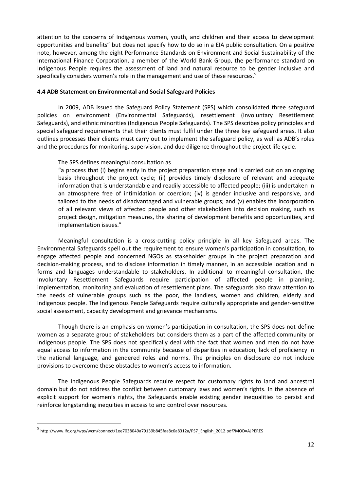attention to the concerns of Indigenous women, youth, and children and their access to development opportunities and benefits" but does not specify how to do so in a EIA public consultation. On a positive note, however, among the eight Performance Standards on Environment and Social Sustainability of the International Finance Corporation, a member of the World Bank Group, the performance standard on Indigenous People requires the assessment of land and natural resource to be gender inclusive and specifically considers women's role in the management and use of these resources. 5

#### **4.4 ADB Statement on Environmental and Social Safeguard Policies**

In 2009, ADB issued the Safeguard Policy Statement (SPS) which consolidated three safeguard policies on environment (Environmental Safeguards), resettlement (Involuntary Resettlement Safeguards), and ethnic minorities (Indigenous People Safeguards). The SPS describes policy principles and special safeguard requirements that their clients must fulfil under the three key safeguard areas. It also outlines processes their clients must carry out to implement the safeguard policy, as well as ADB's roles and the procedures for monitoring, supervision, and due diligence throughout the project life cycle.

#### The SPS defines meaningful consultation as

"a process that (i) begins early in the project preparation stage and is carried out on an ongoing basis throughout the project cycle; (ii) provides timely disclosure of relevant and adequate information that is understandable and readily accessible to affected people; (iii) is undertaken in an atmosphere free of intimidation or coercion; (iv) is gender inclusive and responsive, and tailored to the needs of disadvantaged and vulnerable groups; and (v) enables the incorporation of all relevant views of affected people and other stakeholders into decision making, such as project design, mitigation measures, the sharing of development benefits and opportunities, and implementation issues."

Meaningful consultation is a cross-cutting policy principle in all key Safeguard areas. The Environmental Safeguards spell out the requirement to ensure women's participation in consultation, to engage affected people and concerned NGOs as stakeholder groups in the project preparation and decision-making process, and to disclose information in timely manner, in an accessible location and in forms and languages understandable to stakeholders. In additional to meaningful consultation, the Involuntary Resettlement Safeguards require participation of affected people in planning, implementation, monitoring and evaluation of resettlement plans. The safeguards also draw attention to the needs of vulnerable groups such as the poor, the landless, women and children, elderly and indigenous people. The Indigenous People Safeguards require culturally appropriate and gender-sensitive social assessment, capacity development and grievance mechanisms.

Though there is an emphasis on women's participation in consultation, the SPS does not define women as a separate group of stakeholders but considers them as a part of the affected community or indigenous people. The SPS does not specifically deal with the fact that women and men do not have equal access to information in the community because of disparities in education, lack of proficiency in the national language, and gendered roles and norms. The principles on disclosure do not include provisions to overcome these obstacles to women's access to information.

The Indigenous People Safeguards require respect for customary rights to land and ancestral domain but do not address the conflict between customary laws and women's rights. In the absence of explicit support for women's rights, the Safeguards enable existing gender inequalities to persist and reinforce longstanding inequities in access to and control over resources.

 $\overline{\phantom{a}}$ 

<sup>5</sup> http://www.ifc.org/wps/wcm/connect/1ee7038049a79139b845faa8c6a8312a/PS7\_English\_2012.pdf?MOD=AJPERES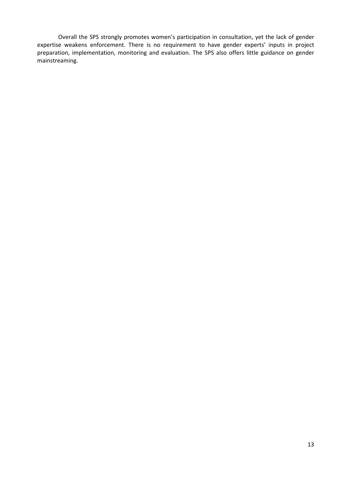<span id="page-19-0"></span>Overall the SPS strongly promotes women's participation in consultation, yet the lack of gender expertise weakens enforcement. There is no requirement to have gender experts' inputs in project preparation, implementation, monitoring and evaluation. The SPS also offers little guidance on gender mainstreaming.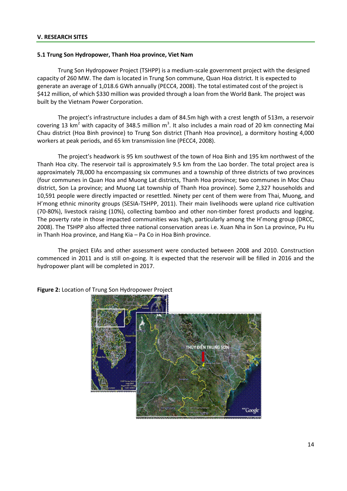#### **5.1 Trung Son Hydropower, Thanh Hoa province, Viet Nam**

Trung Son Hydropower Project (TSHPP) is a medium-scale government project with the designed capacity of 260 MW. The dam is located in Trung Son commune, Quan Hoa district. It is expected to generate an average of 1,018.6 GWh annually (PECC4, 2008). The total estimated cost of the project is \$412 million, of which \$330 million was provided through a loan from the World Bank. The project was built by the Vietnam Power Corporation.

The project's infrastructure includes a dam of 84.5m high with a crest length of 513m, a reservoir covering 13 km<sup>2</sup> with capacity of 348.5 million m<sup>3</sup>. It also includes a main road of 20 km connecting Mai Chau district (Hoa Binh province) to Trung Son district (Thanh Hoa province), a dormitory hosting 4,000 workers at peak periods, and 65 km transmission line (PECC4, 2008).

The project's headwork is 95 km southwest of the town of Hoa Binh and 195 km northwest of the Thanh Hoa city. The reservoir tail is approximately 9.5 km from the Lao border. The total project area is approximately 78,000 ha encompassing six communes and a township of three districts of two provinces (four communes in Quan Hoa and Muong Lat districts, Thanh Hoa province; two communes in Moc Chau district, Son La province; and Muong Lat township of Thanh Hoa province). Some 2,327 households and 10,591 people were directly impacted or resettled. Ninety per cent of them were from Thai, Muong, and H'mong ethnic minority groups (SESIA-TSHPP, 2011). Their main livelihoods were upland rice cultivation (70-80%), livestock raising (10%), collecting bamboo and other non-timber forest products and logging. The poverty rate in those impacted communities was high, particularly among the H'mong group (DRCC, 2008). The TSHPP also affected three national conservation areas i.e. Xuan Nha in Son La province, Pu Hu in Thanh Hoa province, and Hang Kia – Pa Co in Hoa Binh province.

The project EIAs and other assessment were conducted between 2008 and 2010. Construction commenced in 2011 and is still on-going. It is expected that the reservoir will be filled in 2016 and the hydropower plant will be completed in 2017.



**Figure 2:** Location of Trung Son Hydropower Project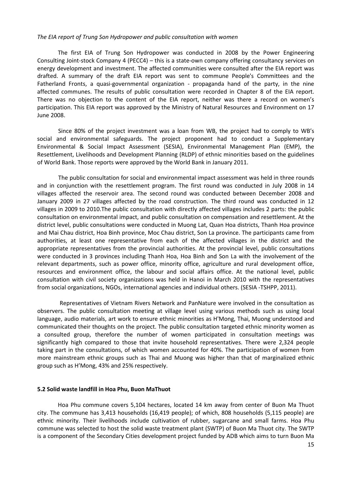#### *The EIA report of Trung Son Hydropower and public consultation with women*

The first EIA of Trung Son Hydropower was conducted in 2008 by the Power Engineering Consulting Joint-stock Company 4 (PECC4) – this is a state-own company offering consultancy services on energy development and investment. The affected communities were consulted after the EIA report was drafted. A summary of the draft EIA report was sent to commune People's Committees and the Fatherland Fronts, a quasi-governmental organization - propaganda hand of the party, in the nine affected communes. The results of public consultation were recorded in Chapter 8 of the EIA report. There was no objection to the content of the EIA report, neither was there a record on women's participation. This EIA report was approved by the Ministry of Natural Resources and Environment on 17 June 2008.

Since 80% of the project investment was a loan from WB, the project had to comply to WB's social and environmental safeguards. The project proponent had to conduct a Supplementary Environmental & Social Impact Assessment (SESIA), Environmental Management Plan (EMP), the Resettlement, Livelihoods and Development Planning (RLDP) of ethnic minorities based on the guidelines of World Bank. Those reports were approved by the World Bank in January 2011.

The public consultation for social and environmental impact assessment was held in three rounds and in conjunction with the resettlement program. The first round was conducted in July 2008 in 14 villages affected the reservoir area. The second round was conducted between December 2008 and January 2009 in 27 villages affected by the road construction. The third round was conducted in 12 villages in 2009 to 2010.The public consultation with directly affected villages includes 2 parts: the public consultation on environmental impact, and public consultation on compensation and resettlement. At the district level, public consultations were conducted in Muong Lat, Quan Hoa districts, Thanh Hoa province and Mai Chau district, Hoa Binh province, Moc Chau district, Son La province. The participants came from authorities, at least one representative from each of the affected villages in the district and the appropriate representatives from the provincial authorities. At the provincial level, public consultations were conducted in 3 provinces including Thanh Hoa, Hoa Binh and Son La with the involvement of the relevant departments, such as power office, minority office, agriculture and rural development office, resources and environment office, the labour and social affairs office. At the national level, public consultation with civil society organizations was held in Hanoi in March 2010 with the representatives from social organizations, NGOs, international agencies and individual others. (SESIA -TSHPP, 2011).

Representatives of Vietnam Rivers Network and PanNature were involved in the consultation as observers. The public consultation meeting at village level using various methods such as using local language, audio materials, art work to ensure ethnic minorities as H'Mong, Thai, Muong understood and communicated their thoughts on the project. The public consultation targeted ethnic minority women as a consulted group, therefore the number of women participated in consultation meetings was significantly high compared to those that invite household representatives. There were 2,324 people taking part in the consultations, of which women accounted for 40%. The participation of women from more mainstream ethnic groups such as Thai and Muong was higher than that of marginalized ethnic group such as H'Mong, 43% and 25% respectively.

#### **5.2 Solid waste landfill in Hoa Phu, Buon MaThuot**

Hoa Phu commune covers 5,104 hectares, located 14 km away from center of Buon Ma Thuot city. The commune has 3,413 households (16,419 people); of which, 808 households (5,115 people) are ethnic minority. Their livelihoods include cultivation of rubber, sugarcane and small farms. Hoa Phu commune was selected to host the solid waste treatment plant (SWTP) of Buon Ma Thuot city. The SWTP is a component of the Secondary Cities development project funded by ADB which aims to turn Buon Ma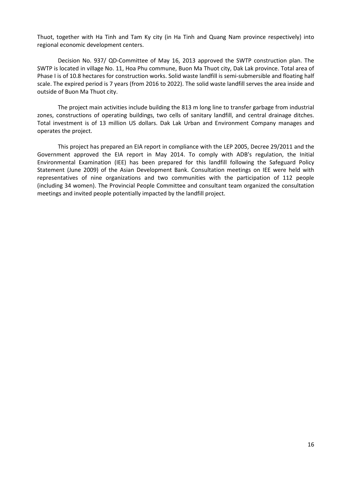Thuot, together with Ha Tinh and Tam Ky city (in Ha Tinh and Quang Nam province respectively) into regional economic development centers.

Decision No. 937/ QD-Committee of May 16, 2013 approved the SWTP construction plan. The SWTP is located in village No. 11, Hoa Phu commune, Buon Ma Thuot city, Dak Lak province. Total area of Phase I is of 10.8 hectares for construction works. Solid waste landfill is semi-submersible and floating half scale. The expired period is 7 years (from 2016 to 2022). The solid waste landfill serves the area inside and outside of Buon Ma Thuot city.

The project main activities include building the 813 m long line to transfer garbage from industrial zones, constructions of operating buildings, two cells of sanitary landfill, and central drainage ditches. Total investment is of 13 million US dollars. Dak Lak Urban and Environment Company manages and operates the project.

<span id="page-22-0"></span>This project has prepared an EIA report in compliance with the LEP 2005, Decree 29/2011 and the Government approved the EIA report in May 2014. To comply with ADB's regulation, the Initial Environmental Examination (IEE) has been prepared for this landfill following the Safeguard Policy Statement (June 2009) of the Asian Development Bank. Consultation meetings on IEE were held with representatives of nine organizations and two communities with the participation of 112 people (including 34 women). The Provincial People Committee and consultant team organized the consultation meetings and invited people potentially impacted by the landfill project.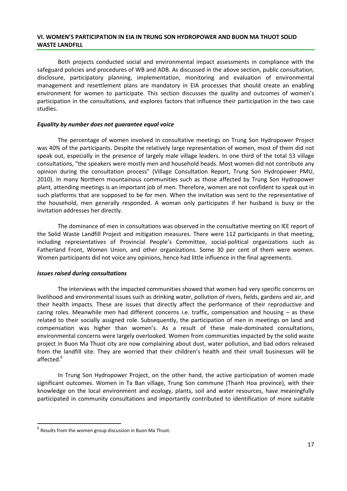#### **VI. WOMEN'S PARTICIPATION IN EIA IN TRUNG SON HYDROPOWER AND BUON MA THUOT SOLID WASTE LANDFILL**

Both projects conducted social and environmental impact assessments in compliance with the safeguard policies and procedures of WB and ADB. As discussed in the above section, public consultation, disclosure, participatory planning, implementation, monitoring and evaluation of environmental management and resettlement plans are mandatory in EIA processes that should create an enabling environment for women to participate. This section discusses the quality and outcomes of women's participation in the consultations, and explores factors that influence their participation in the two case studies.

#### *Equality by number does not guarantee equal voice*

The percentage of women involved in consultative meetings on Trung Son Hydropower Project was 40% of the participants. Despite the relatively large representation of women, most of them did not speak out, especially in the presence of largely male village leaders. In one third of the total 53 village consultations, "the speakers were mostly men and household heads. Most women did not contribute any opinion during the consultation process" (Village Consultation Report, Trung Son Hydropower PMU, 2010). In many Northern mountainous communities such as those affected by Trung Son Hydropower plant, attending meetings is an important job of men. Therefore, women are not confident to speak out in such platforms that are supposed to be for men. When the invitation was sent to the representative of the household, men generally responded. A woman only participates if her husband is busy or the invitation addresses her directly.

The dominance of men in consultations was observed in the consultative meeting on IEE report of the Solid Waste Landfill Project and mitigation measures. There were 112 participants in that meeting, including representatives of Provincial People's Committee, social-political organizations such as Fatherland Front, Women Union, and other organizations. Some 30 per cent of them were women. Women participants did not voice any opinions, hence had little influence in the final agreements.

#### *Issues raised during consultations*

The interviews with the impacted communities showed that women had very specific concerns on livelihood and environmental issues such as drinking water, pollution of rivers, fields, gardens and air, and their health impacts. These are issues that directly affect the performance of their reproductive and caring roles. Meanwhile men had different concerns i.e. traffic, compensation and housing – as these related to their socially assigned role. Subsequently, the participation of men in meetings on land and compensation was higher than women's. As a result of these male-dominated consultations, environmental concerns were largely overlooked. Women from communities impacted by the solid waste project in Buon Ma Thuot city are now complaining about dust, water pollution, and bad odors released from the landfill site. They are worried that their children's health and their small businesses will be affected. 6

In Trung Son Hydropower Project, on the other hand, the active participation of women made significant outcomes. Women in Ta Ban village, Trung Son commune (Thanh Hoa province), with their knowledge on the local environment and ecology, plants, soil and water resources, have meaningfully participated in community consultations and importantly contributed to identification of more suitable

 $\overline{a}$ 

 $<sup>6</sup>$  Results from the women group discussion in Buon Ma Thuot.</sup>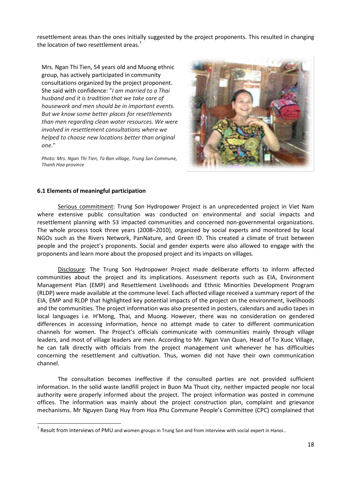resettlement areas than the ones initially suggested by the project proponents. This resulted in changing the location of two resettlement areas.<sup>7</sup>

Mrs. Ngan Thi Tien, 54 years old and Muong ethnic group, has actively participated in community consultations organized by the project proponent. She said with confidence: "*I am married to a Thai husband and it is tradition that we take care of housework and men should be in important events. But we know some better places for resettlements than men regarding clean water resources. We were involved in resettlement consultations where we helped to choose new locations better than original one*."

*Photo: Mrs. Ngan Thi Tien, Ta Ban village, Trung Son Commune, Thanh Hoa province*



# **6.1 Elements of meaningful participation**

 $\overline{\phantom{a}}$ 

Serious commitment: Trung Son Hydropower Project is an unprecedented project in Viet Nam where extensive public consultation was conducted on environmental and social impacts and resettlement planning with 53 impacted communities and concerned non-governmental organizations. The whole process took three years (2008–2010), organized by social experts and monitored by local NGOs such as the Rivers Network, PanNature, and Green ID. This created a climate of trust between people and the project's proponents. Social and gender experts were also allowed to engage with the proponents and learn more about the proposed project and its impacts on villages.

Disclosure: The Trung Son Hydropower Project made deliberate efforts to inform affected communities about the project and its implications. Assessment reports such as EIA, Environment Management Plan (EMP) and Resettlement Livelihoods and Ethnic Minorities Development Program (RLDP) were made available at the commune level. Each affected village received a summary report of the EIA, EMP and RLDP that highlighted key potential impacts of the project on the environment, livelihoods and the communities. The project information was also presented in posters, calendars and audio tapes in local languages i.e. H'Mong, Thai, and Muong. However, there was no consideration on gendered differences in accessing information, hence no attempt made to cater to different communication channels for women. The Project's officials communicate with communities mainly through village leaders, and most of village leaders are men. According to Mr. Ngan Van Quan, Head of To Xuoc Village, he can talk directly with officials from the project management unit whenever he has difficulties concerning the resettlement and cultivation. Thus, women did not have their own communication channel.

The consultation becomes ineffective if the consulted parties are not provided sufficient information. In the solid waste landfill project in Buon Ma Thuot city, neither impacted people nor local authority were properly informed about the project. The project information was posted in commune offices. The information was mainly about the project construction plan, complaint and grievance mechanisms. Mr Nguyen Dang Huy from Hoa Phu Commune People's Committee (CPC) complained that

 $<sup>7</sup>$  Result from interviews of PMU and women groups in Trung Son and from interview with social expert in Hanoi..</sup>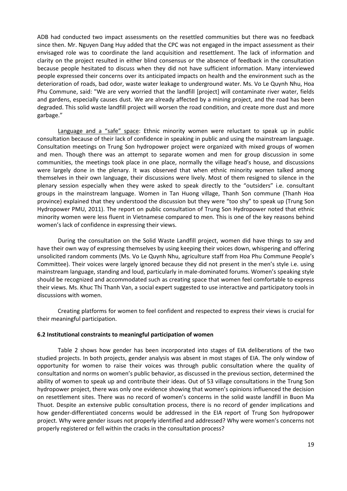ADB had conducted two impact assessments on the resettled communities but there was no feedback since then. Mr. Nguyen Dang Huy added that the CPC was not engaged in the impact assessment as their envisaged role was to coordinate the land acquisition and resettlement. The lack of information and clarity on the project resulted in either blind consensus or the absence of feedback in the consultation because people hesitated to discuss when they did not have sufficient information. Many interviewed people expressed their concerns over its anticipated impacts on health and the environment such as the deterioration of roads, bad odor, waste water leakage to underground water. Ms. Vo Le Quynh Nhu, Hoa Phu Commune, said: "We are very worried that the landfill [project] will contaminate river water, fields and gardens, especially causes dust. We are already affected by a mining project, and the road has been degraded. This solid waste landfill project will worsen the road condition, and create more dust and more garbage."

Language and a "safe" space: Ethnic minority women were reluctant to speak up in public consultation because of their lack of confidence in speaking in public and using the mainstream language. Consultation meetings on Trung Son hydropower project were organized with mixed groups of women and men. Though there was an attempt to separate women and men for group discussion in some communities, the meetings took place in one place, normally the village head's house, and discussions were largely done in the plenary. It was observed that when ethnic minority women talked among themselves in their own language, their discussions were lively. Most of them resigned to silence in the plenary session especially when they were asked to speak directly to the "outsiders" i.e. consultant groups in the mainstream language. Women in Tan Huong village, Thanh Son commune (Thanh Hoa province) explained that they understood the discussion but they were "too shy" to speak up (Trung Son Hydropower PMU, 2011). The report on public consultation of Trung Son Hydropower noted that ethnic minority women were less fluent in Vietnamese compared to men. This is one of the key reasons behind women's lack of confidence in expressing their views.

During the consultation on the Solid Waste Landfill project, women did have things to say and have their own way of expressing themselves by using keeping their voices down, whispering and offering unsolicited random comments (Ms. Vo Le Quynh Nhu, agriculture staff from Hoa Phu Commune People's Committee). Their voices were largely ignored because they did not present in the men's style i.e. using mainstream language, standing and loud, particularly in male-dominated forums. Women's speaking style should be recognized and accommodated such as creating space that women feel comfortable to express their views. Ms. Khuc Thi Thanh Van, a social expert suggested to use interactive and participatory tools in discussions with women.

Creating platforms for women to feel confident and respected to express their views is crucial for their meaningful participation.

#### **6.2 Institutional constraints to meaningful participation of women**

Table 2 shows how gender has been incorporated into stages of EIA deliberations of the two studied projects. In both projects, gender analysis was absent in most stages of EIA. The only window of opportunity for women to raise their voices was through public consultation where the quality of consultation and norms on women's public behavior, as discussed in the previous section, determined the ability of women to speak up and contribute their ideas. Out of 53 village consultations in the Trung Son hydropower project, there was only one evidence showing that women's opinions influenced the decision on resettlement sites. There was no record of women's concerns in the solid waste landfill in Buon Ma Thuot. Despite an extensive public consultation process, there is no record of gender implications and how gender-differentiated concerns would be addressed in the EIA report of Trung Son hydropower project. Why were gender issues not properly identified and addressed? Why were women's concerns not properly registered or fell within the cracks in the consultation process?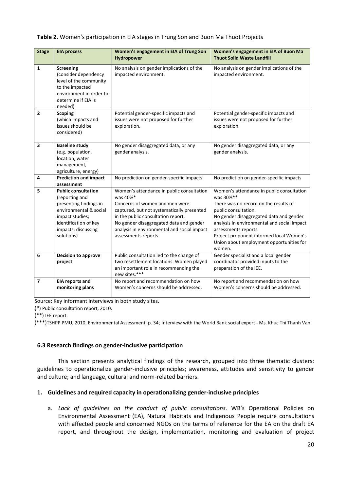#### **Table 2.** Women's participation in EIA stages in Trung Son and Buon Ma Thuot Projects

| <b>Stage</b>             | <b>EIA process</b>                                                                                                                                                                | Women's engagement in EIA of Trung Son<br>Hydropower                                                                                                                                                                                                                                         | Women's engagement in EIA of Buon Ma<br><b>Thuot Solid Waste Landfill</b>                                                                                                                                                                                                                                                                   |
|--------------------------|-----------------------------------------------------------------------------------------------------------------------------------------------------------------------------------|----------------------------------------------------------------------------------------------------------------------------------------------------------------------------------------------------------------------------------------------------------------------------------------------|---------------------------------------------------------------------------------------------------------------------------------------------------------------------------------------------------------------------------------------------------------------------------------------------------------------------------------------------|
| 1                        | <b>Screening</b><br>(consider dependency<br>level of the community<br>to the impacted<br>environment in order to<br>determine if EIA is<br>needed)                                | No analysis on gender implications of the<br>impacted environment.                                                                                                                                                                                                                           | No analysis on gender implications of the<br>impacted environment.                                                                                                                                                                                                                                                                          |
| $\overline{2}$           | <b>Scoping</b><br>(which impacts and<br>issues should be<br>considered)                                                                                                           | Potential gender-specific impacts and<br>issues were not proposed for further<br>exploration.                                                                                                                                                                                                | Potential gender-specific impacts and<br>issues were not proposed for further<br>exploration.                                                                                                                                                                                                                                               |
| 3                        | <b>Baseline study</b><br>(e.g. population,<br>location, water<br>management,<br>agriculture, energy)                                                                              | No gender disaggregated data, or any<br>gender analysis.                                                                                                                                                                                                                                     | No gender disaggregated data, or any<br>gender analysis.                                                                                                                                                                                                                                                                                    |
| 4                        | <b>Prediction and impact</b><br>assessment                                                                                                                                        | No prediction on gender-specific impacts                                                                                                                                                                                                                                                     | No prediction on gender-specific impacts                                                                                                                                                                                                                                                                                                    |
| 5                        | <b>Public consultation</b><br>(reporting and<br>presenting findings in<br>environmental & social<br>impact studies;<br>identification of key<br>impacts; discussing<br>solutions) | Women's attendance in public consultation<br>was 40%*<br>Concerns of women and men were<br>captured, but not systematically presented<br>in the public consultation report.<br>No gender disaggregated data and gender<br>analysis in environmental and social impact<br>assessments reports | Women's attendance in public consultation<br>was 30%**<br>There was no record on the results of<br>public consultation.<br>No gender disaggregated data and gender<br>analysis in environmental and social impact<br>assessments reports.<br>Project proponent informed local Women's<br>Union about employment opportunities for<br>women. |
| 6                        | <b>Decision to approve</b><br>project                                                                                                                                             | Public consultation led to the change of<br>two resettlement locations. Women played<br>an important role in recommending the<br>new sites.***                                                                                                                                               | Gender specialist and a local gender<br>coordinator provided inputs to the<br>preparation of the IEE.                                                                                                                                                                                                                                       |
| $\overline{\phantom{a}}$ | <b>EIA reports and</b><br>monitoring plans                                                                                                                                        | No report and recommendation on how<br>Women's concerns should be addressed.                                                                                                                                                                                                                 | No report and recommendation on how<br>Women's concerns should be addressed.                                                                                                                                                                                                                                                                |

Source: Key informant interviews in both study sites.

(\*) Public consultation report, 2010.

(\*\*) IEE report.

(\*\*\*)TSHPP PMU, 2010, Environmental Assessment, p. 34; Interview with the World Bank social expert - Ms. Khuc Thi Thanh Van.

#### **6.3 Research findings on gender-inclusive participation**

This section presents analytical findings of the research, grouped into three thematic clusters: guidelines to operationalize gender-inclusive principles; awareness, attitudes and sensitivity to gender and culture; and language, cultural and norm-related barriers.

#### **1. Guidelines and required capacity in operationalizing gender-inclusive principles**

a. *Lack of guidelines on the conduct of public consultations*. WB's Operational Policies on Environmental Assessment (EA), Natural Habitats and Indigenous People require consultations with affected people and concerned NGOs on the terms of reference for the EA on the draft EA report, and throughout the design, implementation, monitoring and evaluation of project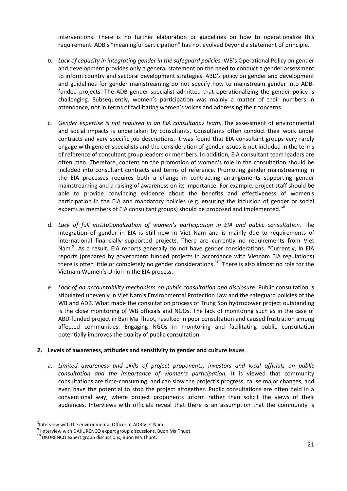interventions. There is no further elaboration or guidelines on how to operationalize this requirement. ADB's "meaningful participation" has not evolved beyond a statement of principle.

- *b. Lack of capacity in integrating gender in the safeguard policies.* WB's Operational Policy on gender and development provides only a general statement on the need to conduct a gender assessment to inform country and sectoral development strategies. ABD's policy on gender and development and guidelines for gender mainstreaming do not specify how to mainstream gender into ADBfunded projects. The ADB gender specialist admitted that operationalizing the gender policy is challenging. Subsequently, women's participation was mainly a matter of their numbers in attendance, not in terms of facilitating women's voices and addressing their concerns*.*
- c. *Gender expertise is not required in an EIA consultancy team.* The assessment of environmental and social impacts is undertaken by consultants. Consultants often conduct their work under contracts and very specific job descriptions. It was found that EIA consultant groups very rarely engage with gender specialists and the consideration of gender issues is not included in the terms of reference of consultant group leaders or members. In addition, EIA consultant team leaders are often men. Therefore, content on the promotion of women's role in the consultation should be included into consultant contracts and terms of reference. Promoting gender mainstreaming in the EIA processes requires both a change in contracting arrangements supporting gender mainstreaming and a raising of awareness on its importance. For example, project staff should be able to provide convincing evidence about the benefits and effectiveness of women's participation in the EIA and mandatory policies (e.g. ensuring the inclusion of gender or social experts as members of EIA consultant groups) should be proposed and implemented."<sup>8</sup>
- d. *Lack of full institutionalization of women's participation in EIA and public consultation.* The integration of gender in EIA is still new in Viet Nam and is mainly due to requirements of international financially supported projects. There are currently no requirements from Viet Nam.<sup>9</sup>. As a result, EIA reports generally do not have gender considerations. "Currently, in EIA reports (prepared by government funded projects in accordance with Vietnam EIA regulations) there is often little or completely no gender considerations.<sup>"10</sup> There is also almost no role for the Vietnam Women's Union in the EIA process.
- e. *Lack of an accountability mechanism on public consultation and disclosure.* Public consultation is stipulated unevenly in Viet Nam's Environmental Protection Law and the safeguard policies of the WB and ADB. What made the consultation process of Trung Son hydropower project outstanding is the close monitoring of WB officials and NGOs. The lack of monitoring such as in the case of ABD-funded project in Ban Ma Thuot, resulted in poor consultation and caused frustration among affected communities. Engaging NGOs in monitoring and facilitating public consultation potentially improves the quality of public consultation.

#### **2. Levels of awareness, attitudes and sensitivity to gender and culture issues**

a. *Limited awareness and skills of project proponents, investors and local officials on public consultation and the importance of women's participation.* It is viewed that community consultations are time-consuming, and can slow the project's progress, cause major changes, and even have the potential to stop the project altogether. Public consultations are often held in a conventional way, where project proponents inform rather than solicit the views of their audiences. Interviews with officials reveal that there is an assumption that the community is

 $\overline{\phantom{a}}$ 

<sup>&</sup>lt;sup>8</sup>Interview with the environmental Officer at ADB Viet Nam

<sup>&</sup>lt;sup>9</sup> Iinterview with DAKURENCO expert group discussions, Buon Ma Thuot. <sup>10</sup> DKURENCO expert group discussions, Buon Ma Thuot.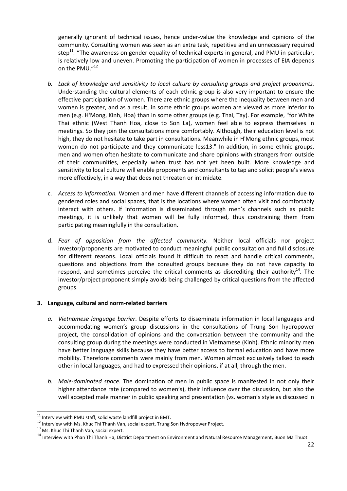generally ignorant of technical issues, hence under-value the knowledge and opinions of the community. Consulting women was seen as an extra task, repetitive and an unnecessary required step<sup>11</sup>. "The awareness on gender equality of technical experts in general, and PMU in particular, is relatively low and uneven. Promoting the participation of women in processes of EIA depends on the PMU."<sup>12</sup>

- *b. Lack of knowledge and sensitivity to local culture by consulting groups and project proponents.*  Understanding the cultural elements of each ethnic group is also very important to ensure the effective participation of women. There are ethnic groups where the inequality between men and women is greater, and as a result, in some ethnic groups women are viewed as more inferior to men (e.g. H'Mong, Kinh, Hoa) than in some other groups (e.g. Thai, Tay). For example, "for White Thai ethnic (West Thanh Hoa, close to Son La), women feel able to express themselves in meetings. So they join the consultations more comfortably. Although, their education level is not high, they do not hesitate to take part in consultations. Meanwhile in H'Mong ethnic groups, most women do not participate and they communicate less13." In addition, in some ethnic groups, men and women often hesitate to communicate and share opinions with strangers from outside of their communities, especially when trust has not yet been built. More knowledge and sensitivity to local culture will enable proponents and consultants to tap and solicit people's views more effectively, in a way that does not threaten or intimidate.
- c. *Access to information.* Women and men have different channels of accessing information due to gendered roles and social spaces, that is the locations where women often visit and comfortably interact with others. If information is disseminated through men's channels such as public meetings, it is unlikely that women will be fully informed, thus constraining them from participating meaningfully in the consultation.
- d. *Fear of opposition from the affected community.* Neither local officials nor project investor/proponents are motivated to conduct meaningful public consultation and full disclosure for different reasons. Local officials found it difficult to react and handle critical comments, questions and objections from the consulted groups because they do not have capacity to respond, and sometimes perceive the critical comments as discrediting their authority<sup>14</sup>. The investor/project proponent simply avoids being challenged by critical questions from the affected groups.

## **3. Language, cultural and norm-related barriers**

- *a. Vietnamese language barrier*. Despite efforts to disseminate information in local languages and accommodating women's group discussions in the consultations of Trung Son hydropower project, the consolidation of opinions and the conversation between the community and the consulting group during the meetings were conducted in Vietnamese (Kinh). Ethnic minority men have better language skills because they have better access to formal education and have more mobility. Therefore comments were mainly from men. Women almost exclusively talked to each other in local languages, and had to expressed their opinions, if at all, through the men.
- *b. Male-dominated space.* The domination of men in public space is manifested in not only their higher attendance rate (compared to women's), their influence over the discussion, but also the well accepted male manner in public speaking and presentation (vs. woman's style as discussed in

 $\overline{a}$ 

<sup>&</sup>lt;sup>11</sup> Interview with PMU staff, solid waste landfill project in BMT.<br><sup>12</sup> Interview with Ms. Khuc Thi Thanh Van, social expert, Trung Son Hydropower Project.<br><sup>13</sup> Ms. Khuc Thi Thanh Van, social expert.<br><sup>14</sup> Interview with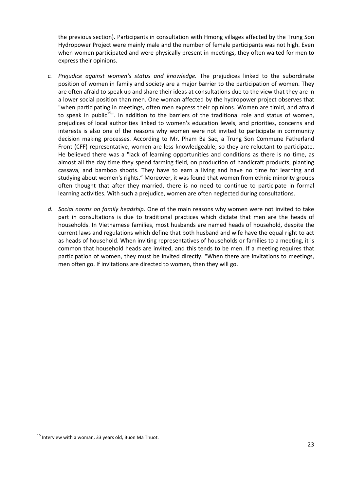the previous section). Participants in consultation with Hmong villages affected by the Trung Son Hydropower Project were mainly male and the number of female participants was not high. Even when women participated and were physically present in meetings, they often waited for men to express their opinions.

- *c. Prejudice against women's status and knowledge.* The prejudices linked to the subordinate position of women in family and society are a major barrier to the participation of women. They are often afraid to speak up and share their ideas at consultations due to the view that they are in a lower social position than men. One woman affected by the hydropower project observes that "when participating in meetings, often men express their opinions. Women are timid, and afraid to speak in public<sup>15</sup>". In addition to the barriers of the traditional role and status of women, prejudices of local authorities linked to women's education levels, and priorities, concerns and interests is also one of the reasons why women were not invited to participate in community decision making processes. According to Mr. Pham Ba Sac, a Trung Son Commune Fatherland Front (CFF) representative, women are less knowledgeable, so they are reluctant to participate. He believed there was a "lack of learning opportunities and conditions as there is no time, as almost all the day time they spend farming field, on production of handicraft products, planting cassava, and bamboo shoots. They have to earn a living and have no time for learning and studying about women's rights." Moreover, it was found that women from ethnic minority groups often thought that after they married, there is no need to continue to participate in formal learning activities. With such a prejudice, women are often neglected during consultations.
- *d. Social norms on family headship*. One of the main reasons why women were not invited to take part in consultations is due to traditional practices which dictate that men are the heads of households. In Vietnamese families, most husbands are named heads of household, despite the current laws and regulations which define that both husband and wife have the equal right to act as heads of household. When inviting representatives of households or families to a meeting, it is common that household heads are invited, and this tends to be men. If a meeting requires that participation of women, they must be invited directly. "When there are invitations to meetings, men often go. If invitations are directed to women, then they will go.

 $\overline{\phantom{a}}$ 

<sup>&</sup>lt;sup>15</sup> Interview with a woman, 33 years old, Buon Ma Thuot.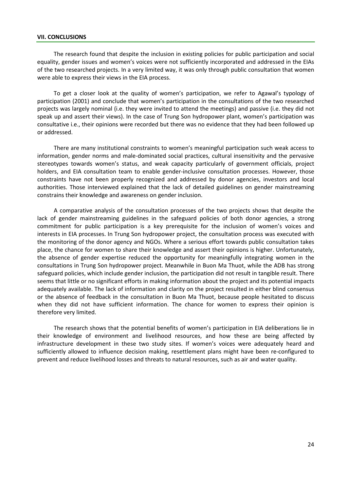#### <span id="page-30-0"></span>**VII. CONCLUSIONS**

The research found that despite the inclusion in existing policies for public participation and social equality, gender issues and women's voices were not sufficiently incorporated and addressed in the EIAs of the two researched projects. In a very limited way, it was only through public consultation that women were able to express their views in the EIA process.

To get a closer look at the quality of women's participation, we refer to Agawal's typology of participation (2001) and conclude that women's participation in the consultations of the two researched projects was largely nominal (i.e. they were invited to attend the meetings) and passive (i.e. they did not speak up and assert their views). In the case of Trung Son hydropower plant, women's participation was consultative i.e., their opinions were recorded but there was no evidence that they had been followed up or addressed.

There are many institutional constraints to women's meaningful participation such weak access to information, gender norms and male-dominated social practices, cultural insensitivity and the pervasive stereotypes towards women's status, and weak capacity particularly of government officials, project holders, and EIA consultation team to enable gender-inclusive consultation processes. However, those constraints have not been properly recognized and addressed by donor agencies, investors and local authorities. Those interviewed explained that the lack of detailed guidelines on gender mainstreaming constrains their knowledge and awareness on gender inclusion.

A comparative analysis of the consultation processes of the two projects shows that despite the lack of gender mainstreaming guidelines in the safeguard policies of both donor agencies, a strong commitment for public participation is a key prerequisite for the inclusion of women's voices and interests in EIA processes. In Trung Son hydropower project, the consultation process was executed with the monitoring of the donor agency and NGOs. Where a serious effort towards public consultation takes place, the chance for women to share their knowledge and assert their opinions is higher. Unfortunately, the absence of gender expertise reduced the opportunity for meaningfully integrating women in the consultations in Trung Son hydropower project. Meanwhile in Buon Ma Thuot, while the ADB has strong safeguard policies, which include gender inclusion, the participation did not result in tangible result. There seems that little or no significant efforts in making information about the project and its potential impacts adequately available. The lack of information and clarity on the project resulted in either blind consensus or the absence of feedback in the consultation in Buon Ma Thuot, because people hesitated to discuss when they did not have sufficient information. The chance for women to express their opinion is therefore very limited.

The research shows that the potential benefits of women's participation in EIA deliberations lie in their knowledge of environment and livelihood resources, and how these are being affected by infrastructure development in these two study sites. If women's voices were adequately heard and sufficiently allowed to influence decision making, resettlement plans might have been re-configured to prevent and reduce livelihood losses and threats to natural resources, such as air and water quality.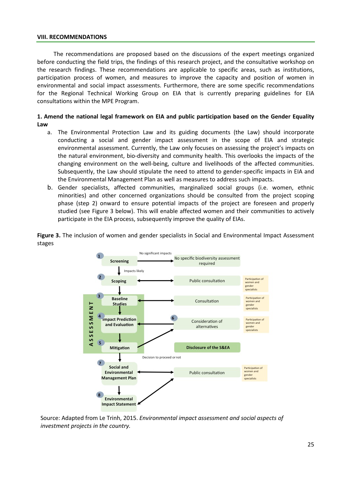#### <span id="page-31-0"></span>**VIII. RECOMMENDATIONS**

The recommendations are proposed based on the discussions of the expert meetings organized before conducting the field trips, the findings of this research project, and the consultative workshop on the research findings. These recommendations are applicable to specific areas, such as institutions, participation process of women, and measures to improve the capacity and position of women in environmental and social impact assessments. Furthermore, there are some specific recommendations for the Regional Technical Working Group on EIA that is currently preparing guidelines for EIA consultations within the MPE Program.

#### **1. Amend the national legal framework on EIA and public participation based on the Gender Equality Law**

- a. The Environmental Protection Law and its guiding documents (the Law) should incorporate conducting a social and gender impact assessment in the scope of EIA and strategic environmental assessment. Currently, the Law only focuses on assessing the project's impacts on the natural environment, bio-diversity and community health. This overlooks the impacts of the changing environment on the well-being, culture and livelihoods of the affected communities. Subsequently, the Law should stipulate the need to attend to gender-specific impacts in EIA and the Environmental Management Plan as well as measures to address such impacts.
- b. Gender specialists, affected communities, marginalized social groups (i.e. women, ethnic minorities) and other concerned organizations should be consulted from the project scoping phase (step 2) onward to ensure potential impacts of the project are foreseen and properly studied (see Figure 3 below). This will enable affected women and their communities to actively participate in the EIA process, subsequently improve the quality of EIAs.

**Figure 3.** The inclusion of women and gender specialists in Social and Environmental Impact Assessment stages



Source: Adapted from Le Trinh, 2015. *Environmental impact assessment and social aspects of investment projects in the country.*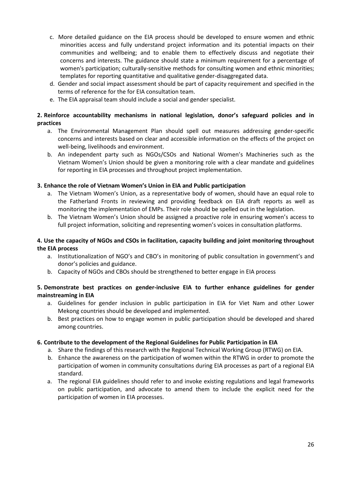- c. More detailed guidance on the EIA process should be developed to ensure women and ethnic minorities access and fully understand project information and its potential impacts on their communities and wellbeing; and to enable them to effectively discuss and negotiate their concerns and interests. The guidance should state a minimum requirement for a percentage of women's participation; culturally-sensitive methods for consulting women and ethnic minorities; templates for reporting quantitative and qualitative gender-disaggregated data.
- d. Gender and social impact assessment should be part of capacity requirement and specified in the terms of reference for the for EIA consultation team.
- e. The EIA appraisal team should include a social and gender specialist.

## **2. Reinforce accountability mechanisms in national legislation, donor's safeguard policies and in practices**

- a. The Environmental Management Plan should spell out measures addressing gender-specific concerns and interests based on clear and accessible information on the effects of the project on well-being, livelihoods and environment.
- b. An independent party such as NGOs/CSOs and National Women's Machineries such as the Vietnam Women's Union should be given a monitoring role with a clear mandate and guidelines for reporting in EIA processes and throughout project implementation.

## **3. Enhance the role of Vietnam Women's Union in EIA and Public participation**

- a. The Vietnam Women's Union, as a representative body of women, should have an equal role to the Fatherland Fronts in reviewing and providing feedback on EIA draft reports as well as monitoring the implementation of EMPs. Their role should be spelled out in the legislation.
- b. The Vietnam Women's Union should be assigned a proactive role in ensuring women's access to full project information, soliciting and representing women's voices in consultation platforms.

## **4. Use the capacity of NGOs and CSOs in facilitation, capacity building and joint monitoring throughout the EIA process**

- a. Institutionalization of NGO's and CBO's in monitoring of public consultation in government's and donor's policies and guidance.
- b. Capacity of NGOs and CBOs should be strengthened to better engage in EIA process

## **5. Demonstrate best practices on gender-inclusive EIA to further enhance guidelines for gender mainstreaming in EIA**

- a. Guidelines for gender inclusion in public participation in EIA for Viet Nam and other Lower Mekong countries should be developed and implemented.
- b. Best practices on how to engage women in public participation should be developed and shared among countries.

## **6. Contribute to the development of the Regional Guidelines for Public Participation in EIA**

- a. Share the findings of this research with the Regional Technical Working Group (RTWG) on EIA.
- b. Enhance the awareness on the participation of women within the RTWG in order to promote the participation of women in community consultations during EIA processes as part of a regional EIA standard.
- a. The regional EIA guidelines should refer to and invoke existing regulations and legal frameworks on public participation, and advocate to amend them to include the explicit need for the participation of women in EIA processes.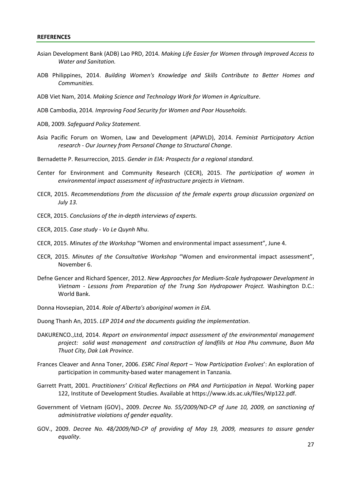- <span id="page-33-0"></span>Asian Development Bank (ADB) Lao PRD, 2014*. Making Life Easier for Women through Improved Access to Water and Sanitation.*
- ADB Philippines, 2014. *Building Women's Knowledge and Skills Contribute to Better Homes and Communities.*
- ADB Viet Nam, 2014*. Making Science and Technology Work for Women in Agriculture*.
- ADB Cambodia, 2014*. Improving Food Security for Women and Poor Households*.
- ADB, 2009*. Safeguard Policy Statement.*
- Asia Pacific Forum on Women, Law and Development (APWLD), 2014. *Feminist Participatory Action research - Our Journey from Personal Change to Structural Change*.
- Bernadette P. Resurreccion, 2015. *Gender in EIA: Prospects for a regional standard*.
- Center for Environment and Community Research (CECR), 2015. *The participation of women in environmental impact assessment of infrastructure projects in Vietnam*.
- CECR, 2015. *Recommendations from the discussion of the female experts group discussion organized on July 13.*
- CECR, 2015. *Conclusions of the in-depth interviews of experts.*

CECR, 2015. *Case study - Vo Le Quynh Nhu*.

- CECR, 2015. *Minutes of the Workshop* "Women and environmental impact assessment", June 4.
- CECR, 2015. *Minutes of the Consultative Workshop* "Women and environmental impact assessment", November 6.
- Defne Gencer and Richard Spencer, 2012. *New Approaches for Medium-Scale hydropower Development in Vietnam - Lessons from Preparation of the Trung Son Hydropower Project.* Washington D.C.: World Bank.
- Donna Hovsepian, 2014. *Role of Alberta's aboriginal women in EIA.*

Duong Thanh An, 2015. *LEP 2014 and the documents guiding the implementation*.

- DAKURENCO.,Ltd, 2014. *Report on environmental impact assessment of the environmental management project: solid wast management and construction of landfills at Hoa Phu commune, Buon Ma Thuot City, Dak Lak Province*.
- Frances Cleaver and Anna Toner, 2006. *ESRC Final Report – 'How Participation Evolves*': An exploration of participation in community-based water management in Tanzania.
- Garrett Pratt, 2001. *Practitioners' Critical Reflections on PRA and Participation in Nepal.* Working paper 122, Institute of Development Studies. Available at https://www.ids.ac.uk/files/Wp122.pdf.
- Government of Vietnam (GOV)., 2009. *Decree No. 55/2009/ND-CP of June 10, 2009, on sanctioning of administrative violations of gender equality*.
- GOV., 2009. *Decree No. 48/2009/ND-CP of providing of May 19, 2009, measures to assure gender equality*.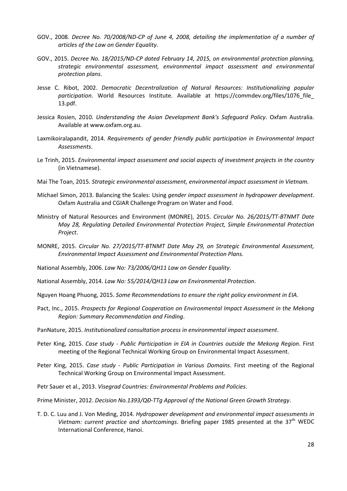- GOV., 2008. *Decree No. 70/2008/ND-CP of June 4, 2008, detailing the implementation of a number of articles of the Law on Gender Equality*.
- GOV., 2015. *Decree No. 18/2015/ND-CP dated February 14, 2015, on environmental protection planning, strategic environmental assessment, environmental impact assessment and environmental protection plans*.
- Jesse C. Ribot, 2002. *Democratic Decentralization of Natural Resources: Institutionalizing popular participation*. World Resources Institute. Available at https://commdev.org/files/1076\_file\_ 13.pdf.
- Jessica Rosien, 2010. *Understanding the Asian Development Bank's Safeguard Policy*. Oxfam Australia. Available at www.oxfam.org.au.
- Laxmikoiralapandit, 2014. *Requirements of gender friendly public participation in Environmental Impact Assessments*.
- Le Trinh, 2015. *Environmental impact assessment and social aspects of investment projects in the country* (in Vietnamese).
- Mai The Toan, 2015. *Strategic environmental assessment, environmental impact assessment in Vietnam.*
- Michael Simon, 2013. Balancing the Scales: Using *gender impact assessment in hydropower development*. Oxfam Australia and CGIAR Challenge Program on Water and Food.
- Ministry of Natural Resources and Environment (MONRE), 2015. *Circular No. 26/2015/TT-BTNMT Date May 28, Regulating Detailed Environmental Protection Project, Simple Environmental Protection Project*.
- MONRE, 2015. *Circular No. 27/2015/TT-BTNMT Date May 29, on Strategic Environmental Assessment, Environmental Impact Assessment and Environmental Protection Plans*.
- National Assembly, 2006. *Law No: 73/2006/QH11 Law on Gender Equality*.

National Assembly, 2014. *Law No: 55/2014/QH13 Law on Environmental Protection*.

- Nguyen Hoang Phuong, 2015. *Some Recommendations to ensure the right policy environment in EIA*.
- Pact, Inc., 2015. *Prospects for Regional Cooperation on Environmental Impact Assessment in the Mekong Region: Summary Recommendation and Finding*.
- PanNature, 2015. *Institutionalized consultation process in environmental impact assessment*.
- Peter King, 2015. *Case study - Public Participation in EIA in Countries outside the Mekong Region*. First meeting of the Regional Technical Working Group on Environmental Impact Assessment.
- Peter King, 2015. *Case study - Public Participation in Various Domains*. First meeting of the Regional Technical Working Group on Environmental Impact Assessment.
- Petr Sauer et al., 2013. *Visegrad Countries: Environmental Problems and Policies*.

Prime Minister, 2012. *Decision No.1393/QĐ-TTg Approval of the National Green Growth Strategy*.

T. D. C. Luu and J. Von Meding, 2014. *Hydropower development and environmental impact assessments in*  Vietnam: current practice and shortcomings. Briefing paper 1985 presented at the 37<sup>th</sup> WEDC International Conference, Hanoi.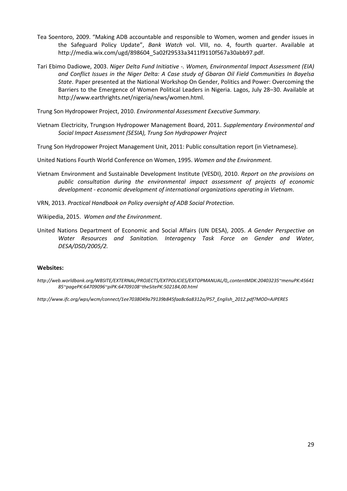- Tea Soentoro, 2009. "Making ADB accountable and responsible to Women, women and gender issues in the Safeguard Policy Update", *Bank Watch* vol. VIII, no. 4, fourth quarter. Available at http://media.wix.com/ugd/898604\_5a02f29533a3411f9110f567a30abb97.pdf.
- Tari Ebimo Dadiowe, 2003. *Niger Delta Fund Initiative -. Women, Environmental Impact Assessment (EIA) and Conflict Issues in the Niger Delta: A Case study of Gbaran Oil Field Communities In Bayelsa State*. Paper presented at the National Workshop On Gender, Politics and Power: Overcoming the Barriers to the Emergence of Women Political Leaders in Nigeria. Lagos, July 28–30. Available at http://www.earthrights.net/nigeria/news/women.html.

Trung Son Hydropower Project, 2010. *Environmental Assessment Executive Summary*.

- Vietnam Electricity, Trungson Hydropower Management Board, 2011. *Supplementary Environmental and Social Impact Assessment (SESIA), Trung Son Hydropower Project*
- Trung Son Hydropower Project Management Unit, 2011: Public consultation report (in Vietnamese).

United Nations Fourth World Conference on Women, 1995. *Women and the Environment.*

Vietnam Environment and Sustainable Development Institute (VESDI), 2010. *Report on the provisions on public consultation during the environmental impact assessment of projects of economic development - economic development of international organizations operating in Vietnam*.

VRN, 2013. *Practical Handbook on Policy oversight of ADB Social Protection*.

Wikipedia, 2015. *Women and the Environment*.

United Nations Department of Economic and Social Affairs (UN DESA), 2005. *A Gender Perspective on Water Resources and Sanitation. Interagency Task Force on Gender and Water, DESA/DSD/2005/2.*

#### **Websites:**

*http://web.worldbank.org/WBSITE/EXTERNAL/PROJECTS/EXTPOLICIES/EXTOPMANUAL/0,,contentMDK:20403235~menuPK:45641 85~pagePK:64709096~piPK:64709108~theSitePK:502184,00.html*

*http://www.ifc.org/wps/wcm/connect/1ee7038049a79139b845faa8c6a8312a/PS7\_English\_2012.pdf?MOD=AJPERES*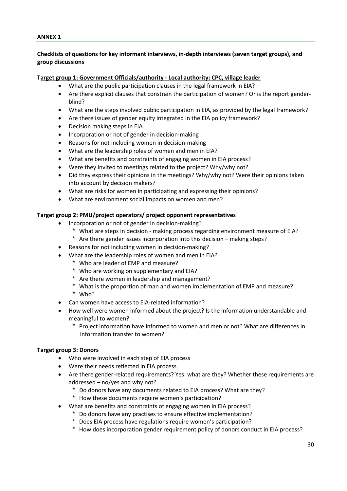#### <span id="page-36-0"></span>**ANNEX 1**

#### **Checklists of questions for key informant interviews, in-depth interviews (seven target groups), and group discussions**

#### **Target group 1: Government Officials/authority - Local authority: CPC, village leader**

- What are the public participation clauses in the legal framework in EIA?
- Are there explicit clauses that constrain the participation of women? Or is the report genderblind?
- What are the steps involved public participation in EIA, as provided by the legal framework?
- Are there issues of gender equity integrated in the EIA policy framework?
- Decision making steps in EIA
- Incorporation or not of gender in decision-making
- Reasons for not including women in decision-making
- What are the leadership roles of women and men in EIA?
- What are benefits and constraints of engaging women in EIA process?
- Were they invited to meetings related to the project? Why/why not?
- Did they express their opinions in the meetings? Why/why not? Were their opinions taken into account by decision makers?
- What are risks for women in participating and expressing their opinions?
- What are environment social impacts on women and men?

#### **Target group 2: PMU/project operators/ project opponent representatives**

- Incorporation or not of gender in decision-making?
	- \* What are steps in decision making process regarding environment measure of EIA?
	- \* Are there gender issues incorporation into this decision making steps?
- Reasons for not including women in decision-making?
- What are the leadership roles of women and men in EIA?
	- \* Who are leader of EMP and measure?
	- \* Who are working on supplementary and EIA?
	- \* Are there women in leadership and management?
	- \* What is the proportion of man and women implementation of EMP and measure?
	- \* Who?
- Can women have access to EIA-related information?
- How well were women informed about the project? Is the information understandable and meaningful to women?
	- \* Project information have informed to women and men or not? What are differences in information transfer to women?

#### **Target group 3: Donors**

- Who were involved in each step of EIA process
- Were their needs reflected in EIA process
- Are there gender-related requirements? Yes: what are they? Whether these requirements are addressed – no/yes and why not?
	- \* Do donors have any documents related to EIA process? What are they?
	- \* How these documents require women's participation?
	- What are benefits and constraints of engaging women in EIA process?
		- \* Do donors have any practises to ensure effective implementation?
		- \* Does EIA process have regulations require women's participation?
		- \* How does incorporation gender requirement policy of donors conduct in EIA process?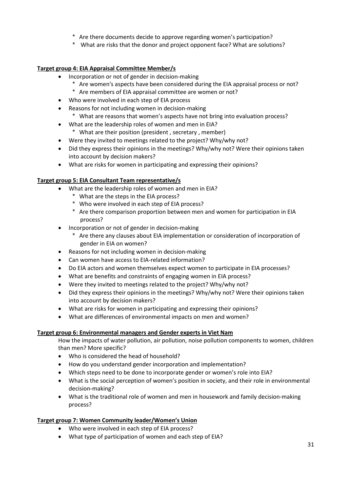- \* Are there documents decide to approve regarding women's participation?
- \* What are risks that the donor and project opponent face? What are solutions?

## **Target group 4: EIA Appraisal Committee Member/s**

- Incorporation or not of gender in decision-making
	- \* Are women's aspects have been considered during the EIA appraisal process or not?
	- \* Are members of EIA appraisal committee are women or not?
- Who were involved in each step of EIA process
- Reasons for not including women in decision-making
	- \* What are reasons that women's aspects have not bring into evaluation process?
- What are the leadership roles of women and men in EIA? \* What are their position (president , secretary , member)
- Were they invited to meetings related to the project? Why/why not?
- Did they express their opinions in the meetings? Why/why not? Were their opinions taken into account by decision makers?
- What are risks for women in participating and expressing their opinions?

## **Target group 5: EIA Consultant Team representative/s**

- What are the leadership roles of women and men in EIA?
	- \* What are the steps in the EIA process?
	- \* Who were involved in each step of EIA process?
	- \* Are there comparison proportion between men and women for participation in EIA process?
- Incorporation or not of gender in decision-making
	- \* Are there any clauses about EIA implementation or consideration of incorporation of gender in EIA on women?
- Reasons for not including women in decision-making
- Can women have access to EIA-related information?
- Do EIA actors and women themselves expect women to participate in EIA processes?
- What are benefits and constraints of engaging women in EIA process?
- Were they invited to meetings related to the project? Why/why not?
- Did they express their opinions in the meetings? Why/why not? Were their opinions taken into account by decision makers?
- What are risks for women in participating and expressing their opinions?
- What are differences of environmental impacts on men and women?

## **Target group 6: Environmental managers and Gender experts in Viet Nam**

How the impacts of water pollution, air pollution, noise pollution components to women, children than men? More specific?

- Who is considered the head of household?
- How do you understand gender incorporation and implementation?
- Which steps need to be done to incorporate gender or women's role into EIA?
- What is the social perception of women's position in society, and their role in environmental decision-making?
- What is the traditional role of women and men in housework and family decision-making process?

## **Target group 7: Women Community leader/Women's Union**

- Who were involved in each step of EIA process?
- What type of participation of women and each step of EIA?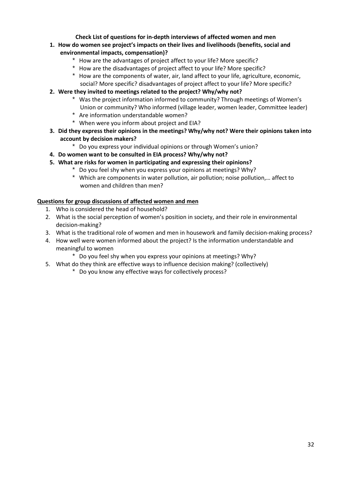## **Check List of questions for in-depth interviews of affected women and men**

- **1. How do women see project's impacts on their lives and livelihoods (benefits, social and environmental impacts, compensation)?**
	- \* How are the advantages of project affect to your life? More specific?
	- \* How are the disadvantages of project affect to your life? More specific?
	- \* How are the components of water, air, land affect to your life, agriculture, economic, social? More specific? disadvantages of project affect to your life? More specific?
- **2. Were they invited to meetings related to the project? Why/why not?**
	- \* Was the project information informed to community? Through meetings of Women's Union or community? Who informed (village leader, women leader, Committee leader)
	- \* Are information understandable women?
	- \* When were you inform about project and EIA?
- **3. Did they express their opinions in the meetings? Why/why not? Were their opinions taken into account by decision makers?**
	- \* Do you express your individual opinions or through Women's union?
- **4. Do women want to be consulted in EIA process? Why/why not?**
- **5. What are risks for women in participating and expressing their opinions?**
	- \* Do you feel shy when you express your opinions at meetings? Why?
		- \* Which are components in water pollution, air pollution; noise pollution,… affect to women and children than men?

## **Questions for group discussions of affected women and men**

- 1. Who is considered the head of household?
- 2. What is the social perception of women's position in society, and their role in environmental decision-making?
- 3. What is the traditional role of women and men in housework and family decision-making process?
- 4. How well were women informed about the project? Is the information understandable and meaningful to women
	- \* Do you feel shy when you express your opinions at meetings? Why?
- 5. What do they think are effective ways to influence decision making? (collectively)
	- \* Do you know any effective ways for collectively process?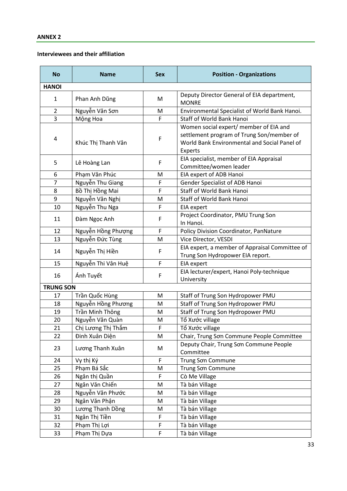#### <span id="page-39-0"></span>**Interviewees and their affiliation**

| <b>No</b>        | <b>Name</b>        | <b>Sex</b> | <b>Position - Organizations</b>                                                                                                                |
|------------------|--------------------|------------|------------------------------------------------------------------------------------------------------------------------------------------------|
| <b>HANOI</b>     |                    |            |                                                                                                                                                |
| $\mathbf{1}$     | Phan Anh Dũng      | M          | Deputy Director General of EIA department,<br><b>MONRE</b>                                                                                     |
| $\overline{2}$   | Nguyễn Văn Sơn     | M          | Environmental Specialist of World Bank Hanoi.                                                                                                  |
| 3                | Mộng Hoa           | F          | Staff of World Bank Hanoi                                                                                                                      |
| 4                | Khúc Thị Thanh Vân | F          | Women social expert/ member of EIA and<br>settlement program of Trung Son/member of<br>World Bank Environmental and Social Panel of<br>Experts |
| 5                | Lê Hoàng Lan       | F          | EIA specialist, member of EIA Appraisal<br>Committee/women leader                                                                              |
| 6                | Phạm Văn Phúc      | М          | EIA expert of ADB Hanoi                                                                                                                        |
| $\overline{7}$   | Nguyễn Thu Giang   | F          | Gender Specialist of ADB Hanoi                                                                                                                 |
| 8                | Bồ Thị Hồng Mai    | F          | Staff of World Bank Hanoi                                                                                                                      |
| 9                | Nguyễn Văn Nghị    | M          | Staff of World Bank Hanoi                                                                                                                      |
| 10               | Nguyễn Thu Nga     | F          | EIA expert                                                                                                                                     |
| 11               | Đàm Ngọc Anh       | F          | Project Coordinator, PMU Trung Son<br>In Hanoi.                                                                                                |
| 12               | Nguyễn Hồng Phượng | F          | Policy Division Coordinator, PanNature                                                                                                         |
| 13               | Nguyễn Đức Tùng    | M          | Vice Director, VESDI                                                                                                                           |
| 14               | Nguyễn Thị Hiền    | F          | EIA expert, a member of Appraisal Committee of<br>Trung Son Hydropower EIA report.                                                             |
| 15               | Nguyễn Thi Vân Huệ | F          | <b>EIA</b> expert                                                                                                                              |
| 16               | Ánh Tuyết          | F          | EIA lecturer/expert, Hanoi Poly-technique<br>University                                                                                        |
| <b>TRUNG SON</b> |                    |            |                                                                                                                                                |
| 17               | Trần Quốc Hùng     | M          | Staff of Trung Son Hydropower PMU                                                                                                              |
| 18               | Nguyễn Hồng Phương | М          | Staff of Trung Son Hydropower PMU                                                                                                              |
| 19               | Trần Minh Thông    | M          | Staff of Trung Son Hydropower PMU                                                                                                              |
| 20               | Nguyễn Văn Quàn    | М          | Tổ Xước village                                                                                                                                |
| 21               | Chị Lương Thị Thắm | F          | Tổ Xước village                                                                                                                                |
| 22               | Đinh Xuân Diện     | M          | Chair, Trung Sơn Commune People Committee                                                                                                      |
| 23               | Lương Thanh Xuân   | M          | Deputy Chair, Trung Sơn Commune People<br>Committee                                                                                            |
| 24               | Vy thị Ký          | F          | Trung Sơn Commune                                                                                                                              |
| 25               | Phạm Bá Sắc        | M          | Trung Sơn Commune                                                                                                                              |
| 26               | Ngân thị Quần      | F          | Cò Me Village                                                                                                                                  |
| 27               | Ngân Văn Chiến     | M          | Tà bán Village                                                                                                                                 |
| 28               | Nguyễn Văn Phước   | M          | Tà bán Village                                                                                                                                 |
| 29               | Ngân Văn Phận      | M          | Tà bán Village                                                                                                                                 |
| 30               | Lương Thanh Dồng   | Μ          | Tà bán Village                                                                                                                                 |
| 31               | Ngân Thị Tiền      | F          | Tà bán Village                                                                                                                                 |
| 32               | Phạm Thị Lợi       | F          | Tà bán Village                                                                                                                                 |
| 33               | Phạm Thị Dựa       | F          | Tà bán Village                                                                                                                                 |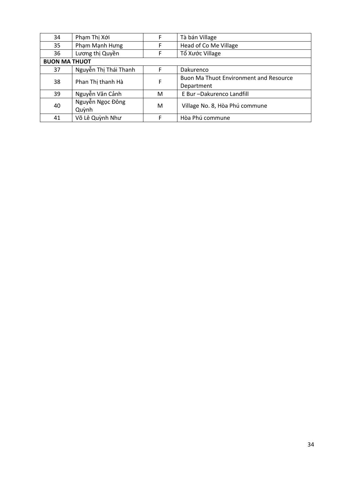| 34                   | Phạm Thị Xới          |   | Tà bán Village                                |
|----------------------|-----------------------|---|-----------------------------------------------|
| 35                   | Phạm Mạnh Hưng        |   | Head of Co Me Village                         |
| 36                   | Lương thị Quyền       |   | Tổ Xước Village                               |
| <b>BUON MA THUOT</b> |                       |   |                                               |
| 37                   | Nguyễn Thị Thái Thanh | F | Dakurenco                                     |
| 38                   | Phan Thị thanh Hà     | F | <b>Buon Ma Thuot Environment and Resource</b> |
|                      |                       |   | Department                                    |
| 39                   | Nguyễn Văn Cảnh       | M | E Bur-Dakurenco Landfill                      |
| 40                   | Nguyễn Ngọc Đông      | M | Village No. 8, Hòa Phú commune                |
|                      | Quỳnh                 |   |                                               |
| 41                   | Võ Lê Quỳnh Như       |   | Hòa Phú commune                               |